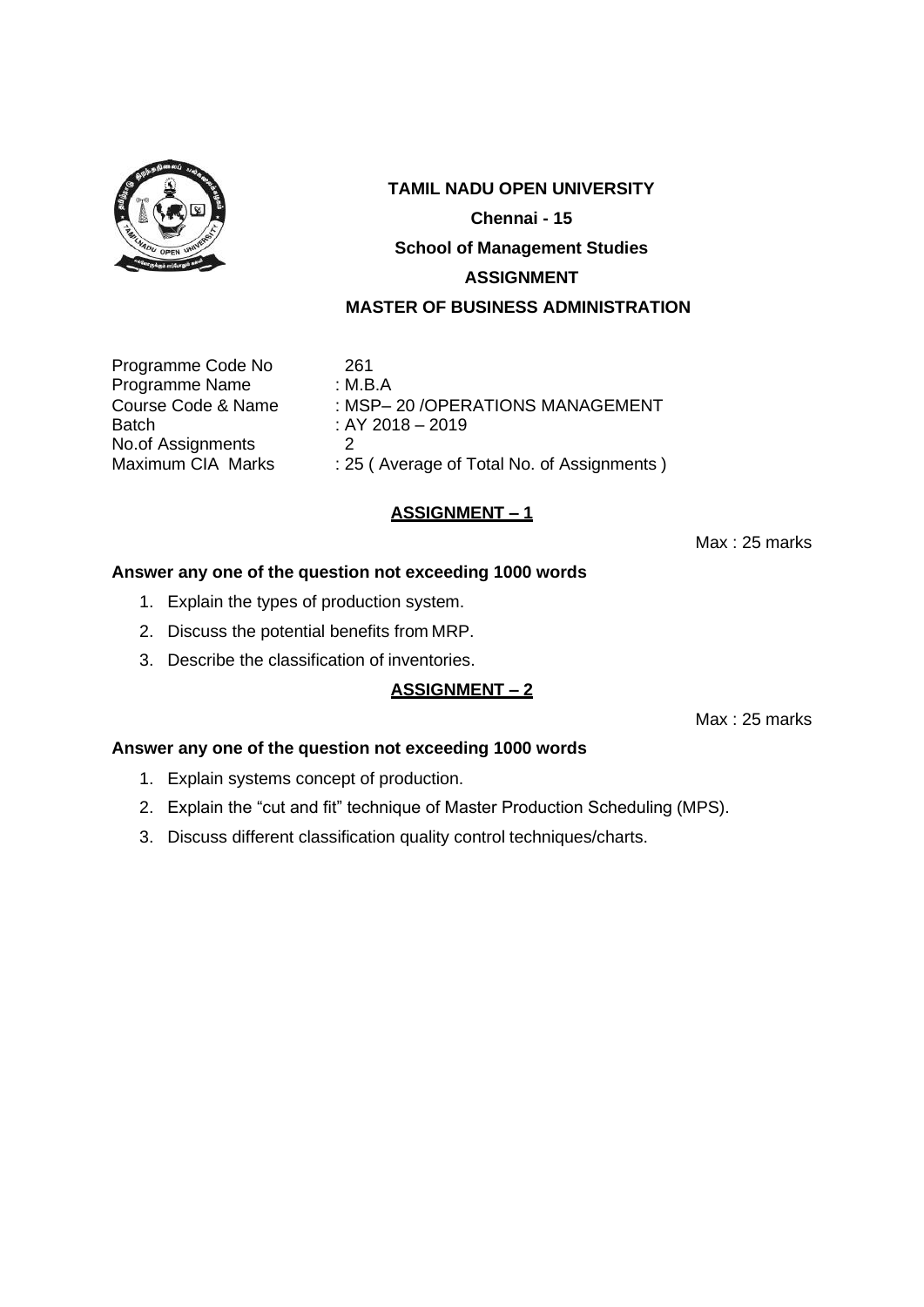

Programme Code No 261<br>Programme Name : M.B.A Programme Name<br>Course Code & Name No.of Assignments 2<br>Maximum CIA Marks : 2

Course Code & Name : MSP-20 / OPERATIONS MANAGEMENT<br>Batch : AY 2018 - 2019  $B = 2018 - 2019$ : 25 ( Average of Total No. of Assignments )

## **ASSIGNMENT – 1**

Max : 25 marks

## **Answer any one of the question not exceeding 1000 words**

- 1. Explain the types of production system.
- 2. Discuss the potential benefits from MRP.
- 3. Describe the classification of inventories.

## **ASSIGNMENT – 2**

Max : 25 marks

- 1. Explain systems concept of production.
- 2. Explain the "cut and fit" technique of Master Production Scheduling (MPS).
- 3. Discuss different classification quality control techniques/charts.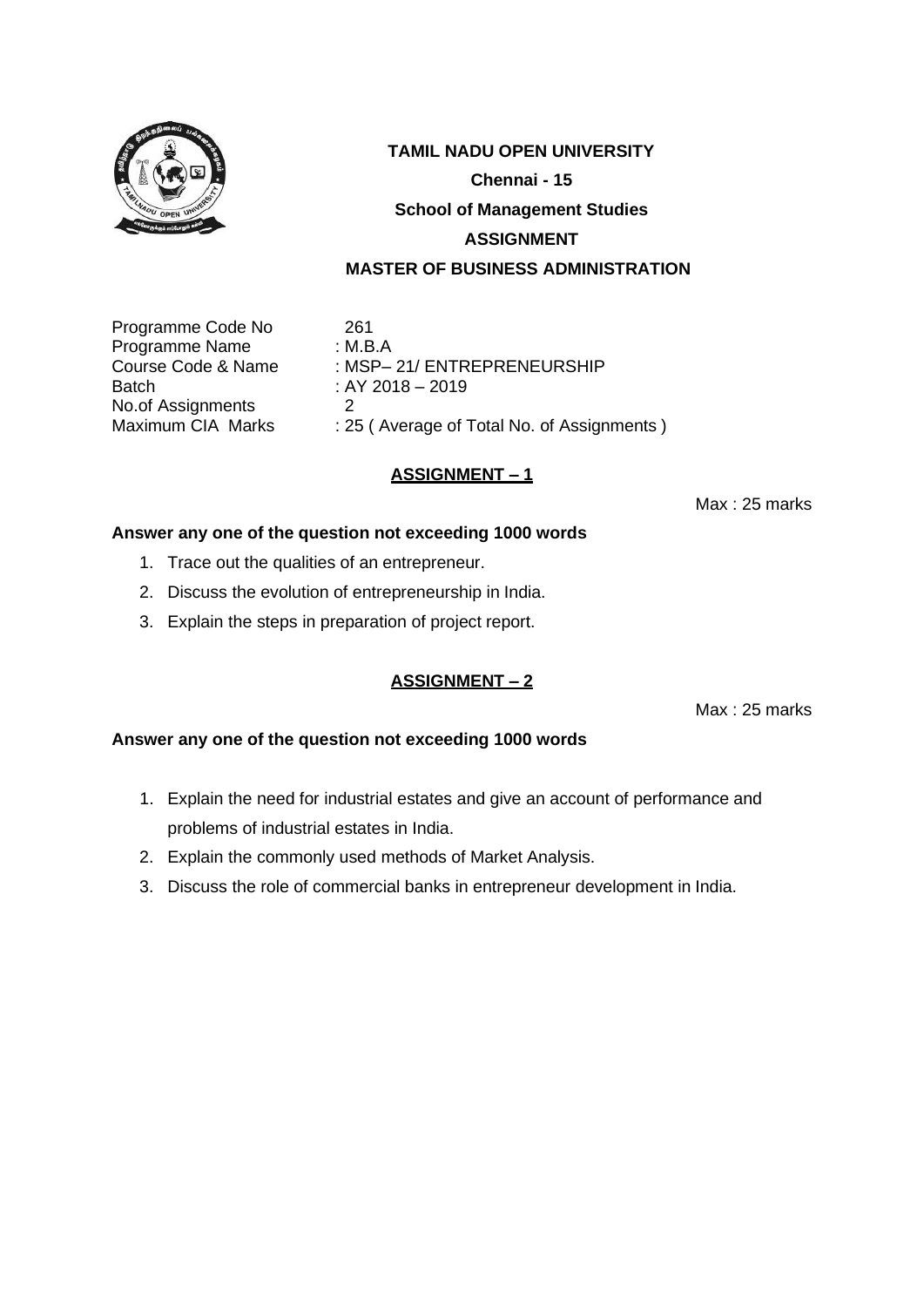

Programme Code No 261 Programme Name : M.B.A Batch : AY 2018 – 2019 No.of Assignments 2<br>Maximum CIA Marks : 29

Course Code & Name : MSP– 21/ ENTREPRENEURSHIP : 25 ( Average of Total No. of Assignments )

## **ASSIGNMENT – 1**

Max : 25 marks

#### **Answer any one of the question not exceeding 1000 words**

- 1. Trace out the qualities of an entrepreneur.
- 2. Discuss the evolution of entrepreneurship in India.
- 3. Explain the steps in preparation of project report.

#### **ASSIGNMENT – 2**

Max : 25 marks

- 1. Explain the need for industrial estates and give an account of performance and problems of industrial estates in India.
- 2. Explain the commonly used methods of Market Analysis.
- 3. Discuss the role of commercial banks in entrepreneur development in India.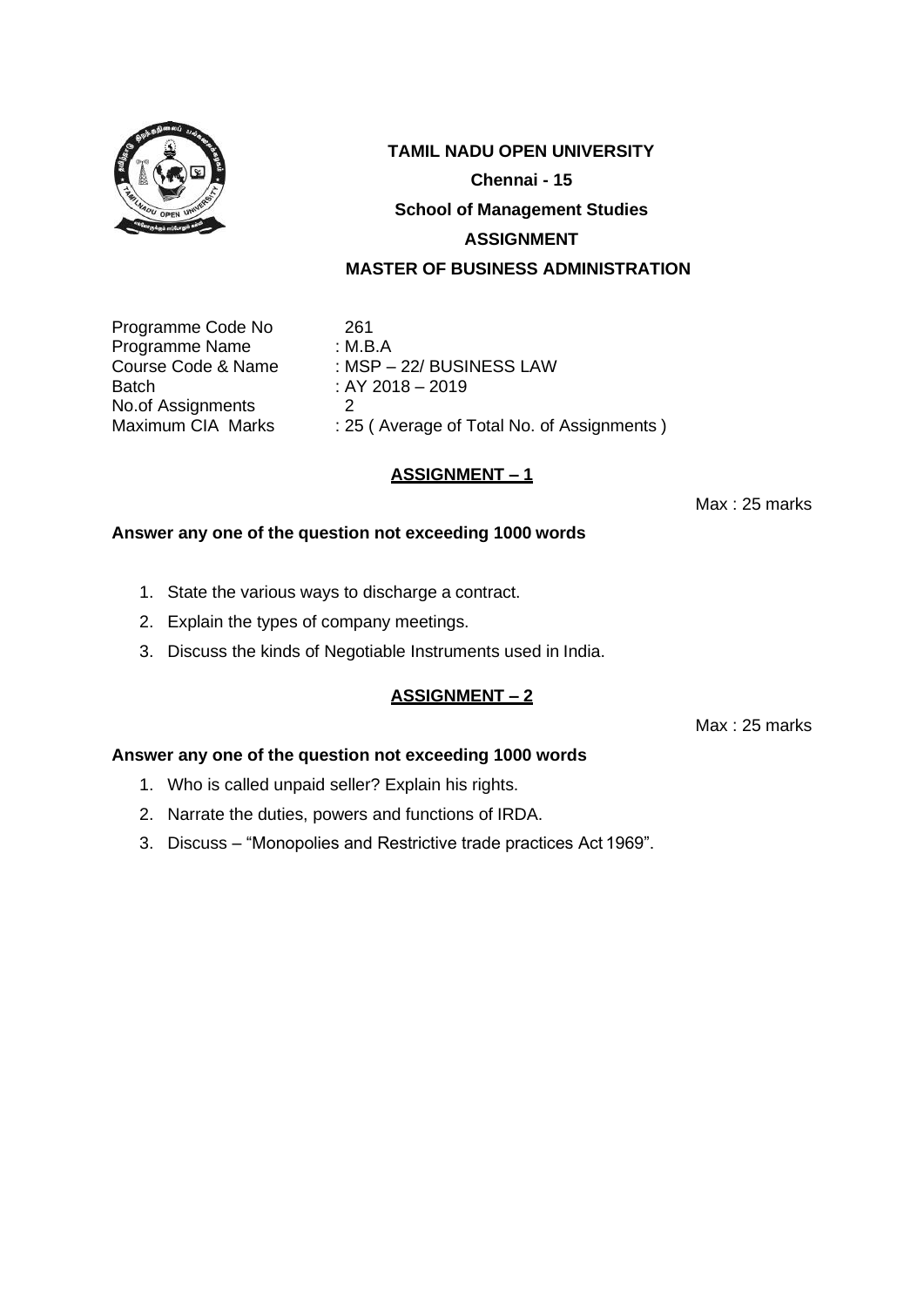

Programme Code No 261 Programme Name : M.B.A Batch : AY 2018 – 2019 No.of Assignments 2<br>Maximum CIA Marks : 29

Course Code & Name : MSP – 22/ BUSINESS LAW : 25 ( Average of Total No. of Assignments )

## **ASSIGNMENT – 1**

Max : 25 marks

#### **Answer any one of the question not exceeding 1000 words**

- 1. State the various ways to discharge a contract.
- 2. Explain the types of company meetings.
- 3. Discuss the kinds of Negotiable Instruments used in India.

#### **ASSIGNMENT – 2**

Max : 25 marks

- 1. Who is called unpaid seller? Explain his rights.
- 2. Narrate the duties, powers and functions of IRDA.
- 3. Discuss "Monopolies and Restrictive trade practices Act 1969".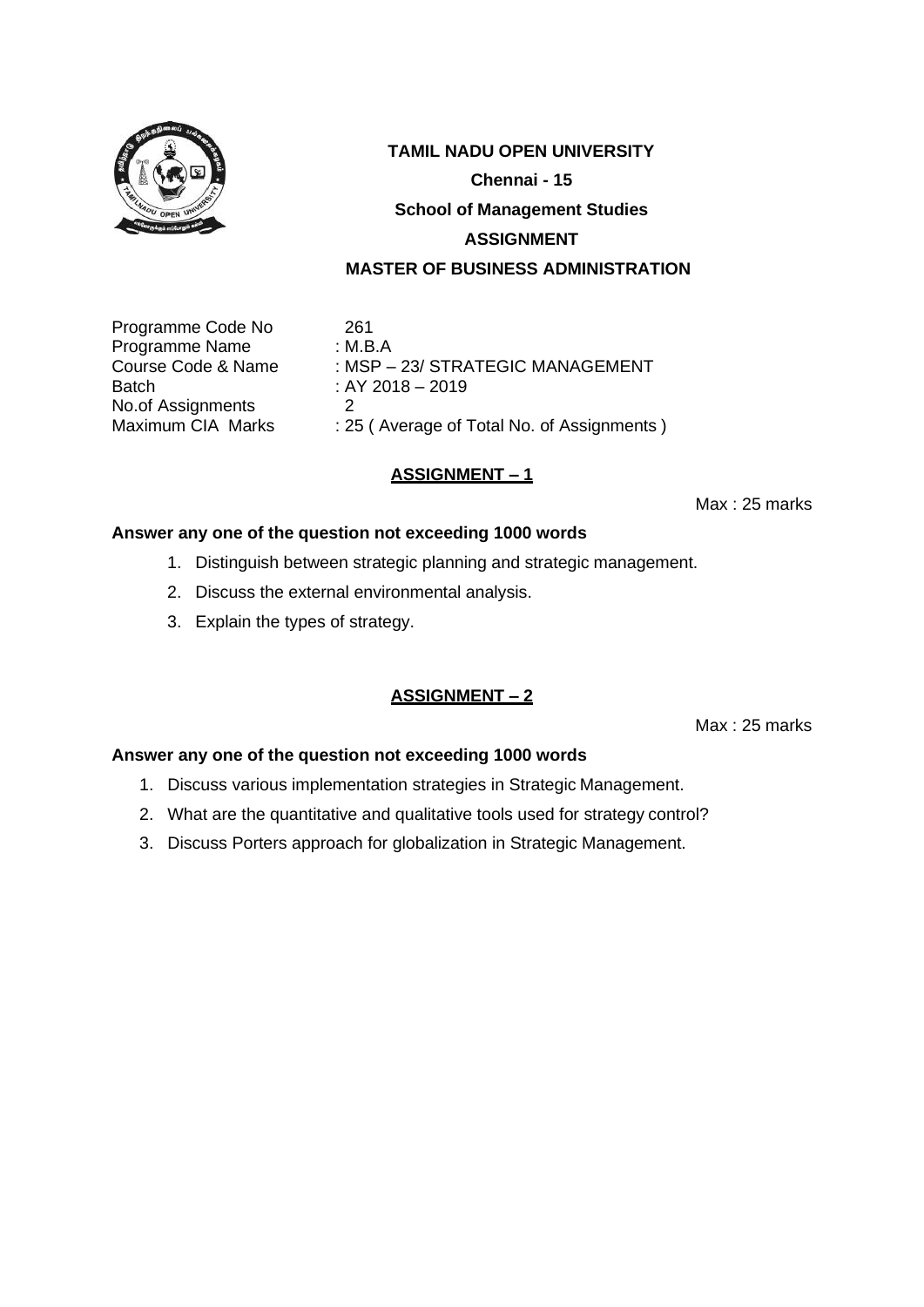

Programme Code No 261 Programme Name : M.B.A Batch : AY 2018 – 2019 No.of Assignments 2<br>Maximum CIA Marks : 29

Course Code & Name : MSP – 23/ STRATEGIC MANAGEMENT : 25 ( Average of Total No. of Assignments )

## **ASSIGNMENT – 1**

Max : 25 marks

#### **Answer any one of the question not exceeding 1000 words**

- 1. Distinguish between strategic planning and strategic management.
- 2. Discuss the external environmental analysis.
- 3. Explain the types of strategy.

## **ASSIGNMENT – 2**

Max : 25 marks

- 1. Discuss various implementation strategies in Strategic Management.
- 2. What are the quantitative and qualitative tools used for strategy control?
- 3. Discuss Porters approach for globalization in Strategic Management.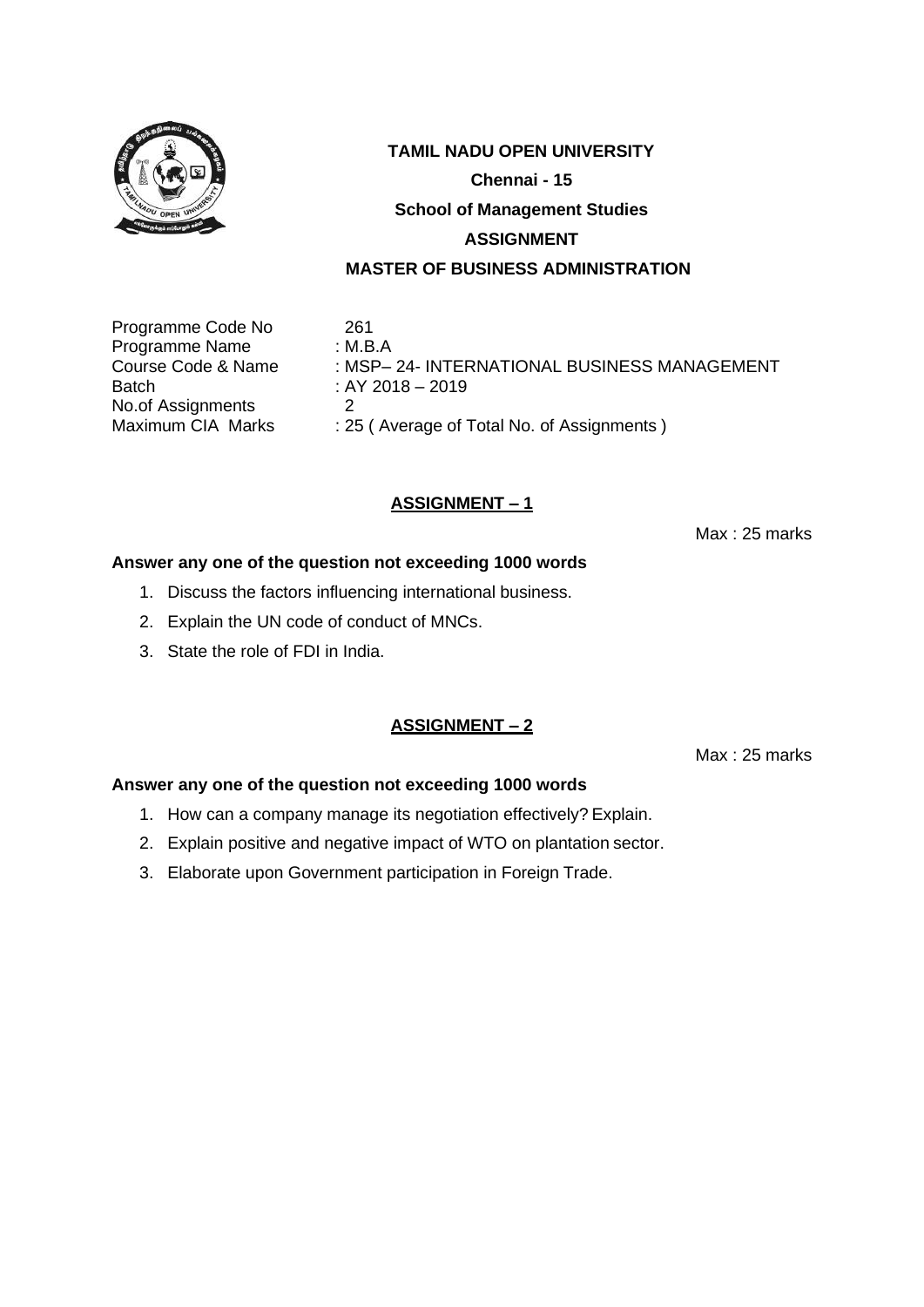

Programme Code No 261 Programme Name : M.B.A Batch : AY 2018 – 2019 No.of Assignments 2<br>Maximum CIA Marks : 29

Course Code & Name : MSP– 24- INTERNATIONAL BUSINESS MANAGEMENT : 25 ( Average of Total No. of Assignments )

## **ASSIGNMENT – 1**

Max : 25 marks

## **Answer any one of the question not exceeding 1000 words**

- 1. Discuss the factors influencing international business.
- 2. Explain the UN code of conduct of MNCs.
- 3. State the role of FDI in India.

#### **ASSIGNMENT – 2**

Max : 25 marks

- 1. How can a company manage its negotiation effectively? Explain.
- 2. Explain positive and negative impact of WTO on plantation sector.
- 3. Elaborate upon Government participation in Foreign Trade.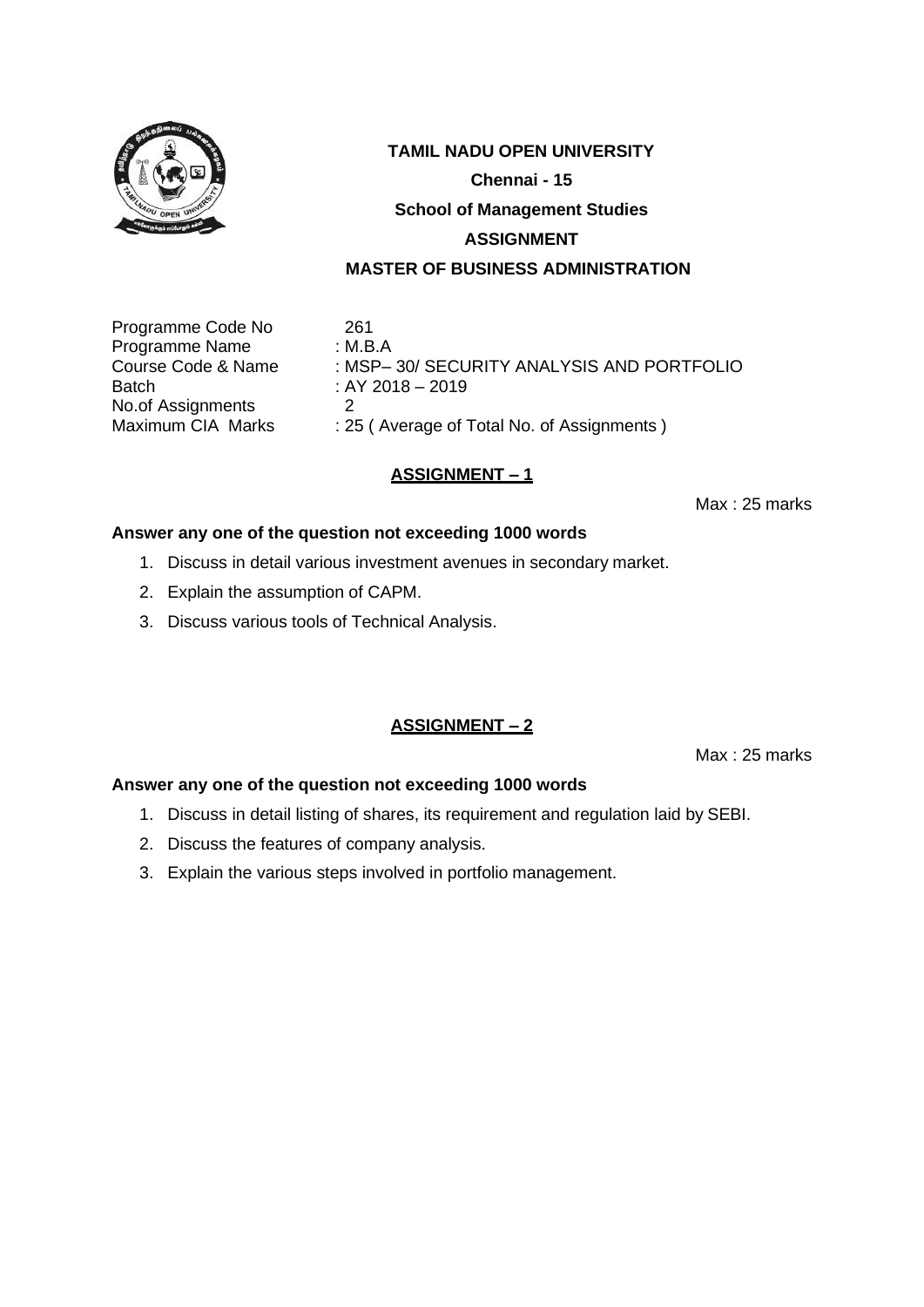

Programme Code No 261 Programme Name : M.B.A Batch : AY 2018 – 2019 No.of Assignments 2<br>Maximum CIA Marks : 29

Course Code & Name : MSP-30/ SECURITY ANALYSIS AND PORTFOLIO : 25 ( Average of Total No. of Assignments )

## **ASSIGNMENT – 1**

Max : 25 marks

#### **Answer any one of the question not exceeding 1000 words**

- 1. Discuss in detail various investment avenues in secondary market.
- 2. Explain the assumption of CAPM.
- 3. Discuss various tools of Technical Analysis.

#### **ASSIGNMENT – 2**

Max : 25 marks

- 1. Discuss in detail listing of shares, its requirement and regulation laid by SEBI.
- 2. Discuss the features of company analysis.
- 3. Explain the various steps involved in portfolio management.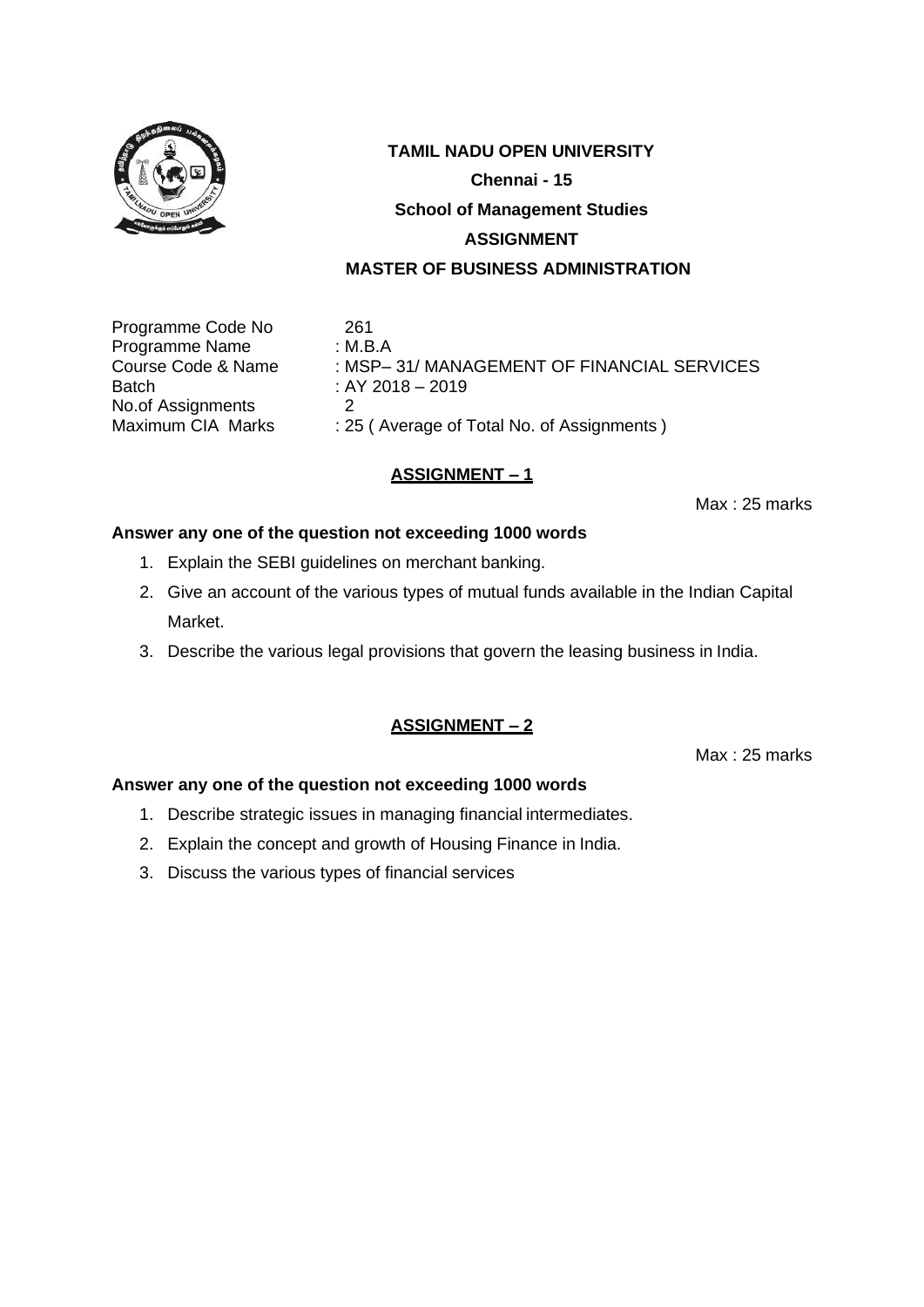

Programme Code No 261 Programme Name : M.B.A Batch : AY 2018 – 2019 No.of Assignments 2<br>Maximum CIA Marks : 29

Course Code & Name : MSP– 31/ MANAGEMENT OF FINANCIAL SERVICES : 25 ( Average of Total No. of Assignments )

## **ASSIGNMENT – 1**

Max : 25 marks

#### **Answer any one of the question not exceeding 1000 words**

- 1. Explain the SEBI guidelines on merchant banking.
- 2. Give an account of the various types of mutual funds available in the Indian Capital Market.
- 3. Describe the various legal provisions that govern the leasing business in India.

## **ASSIGNMENT – 2**

Max : 25 marks

- 1. Describe strategic issues in managing financial intermediates.
- 2. Explain the concept and growth of Housing Finance in India.
- 3. Discuss the various types of financial services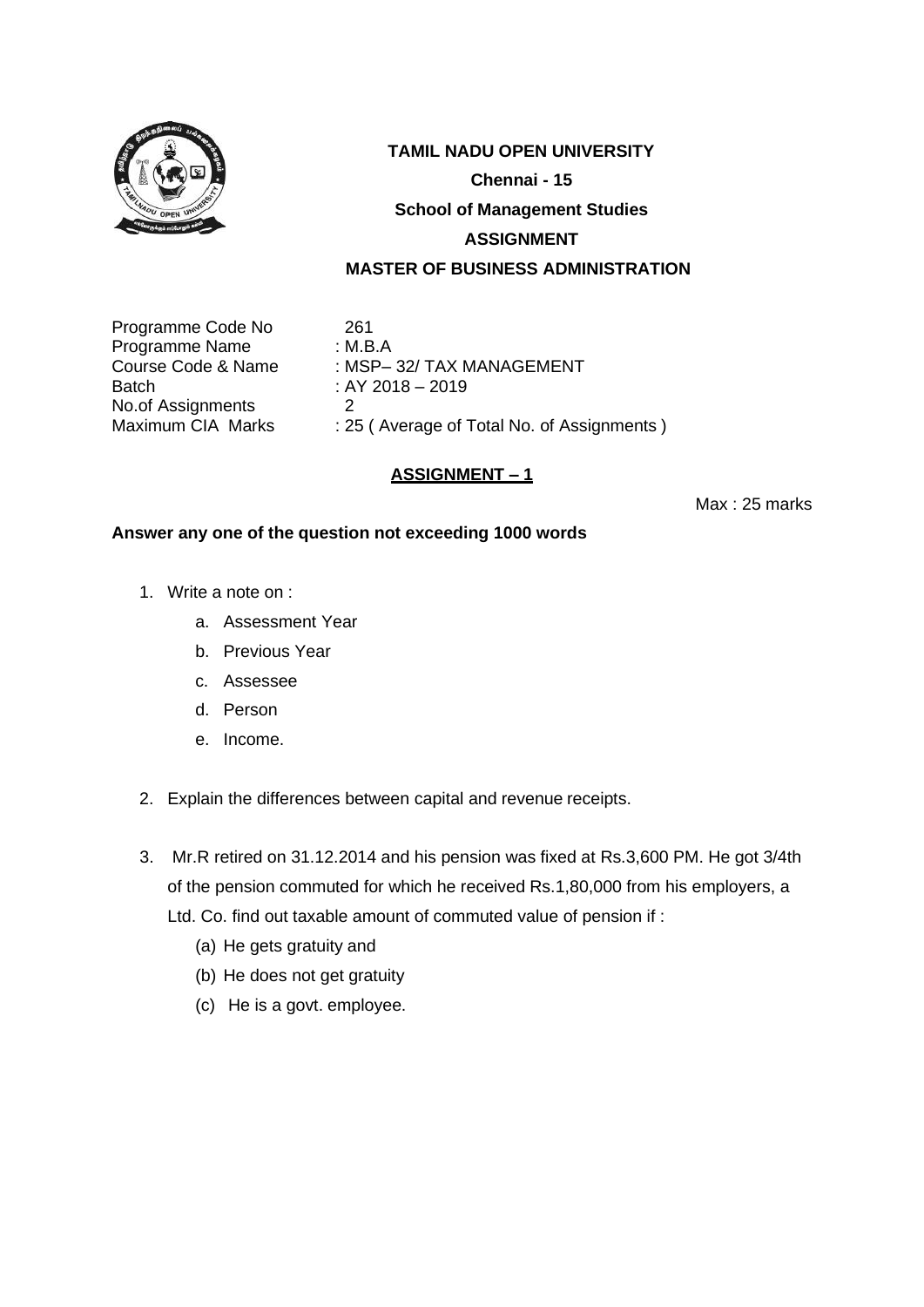

Programme Code No 261 Programme Name : M.B.A Batch : AY 2018 – 2019 No.of Assignments 2<br>Maximum CIA Marks : 29

Course Code & Name : MSP-32/ TAX MANAGEMENT : 25 ( Average of Total No. of Assignments )

## **ASSIGNMENT – 1**

Max : 25 marks

- 1. Write a note on :
	- a. Assessment Year
	- b. Previous Year
	- c. Assessee
	- d. Person
	- e. Income.
- 2. Explain the differences between capital and revenue receipts.
- 3. Mr.R retired on 31.12.2014 and his pension was fixed at Rs.3,600 PM. He got 3/4th of the pension commuted for which he received Rs.1,80,000 from his employers, a Ltd. Co. find out taxable amount of commuted value of pension if :
	- (a) He gets gratuity and
	- (b) He does not get gratuity
	- (c) He is a govt. employee.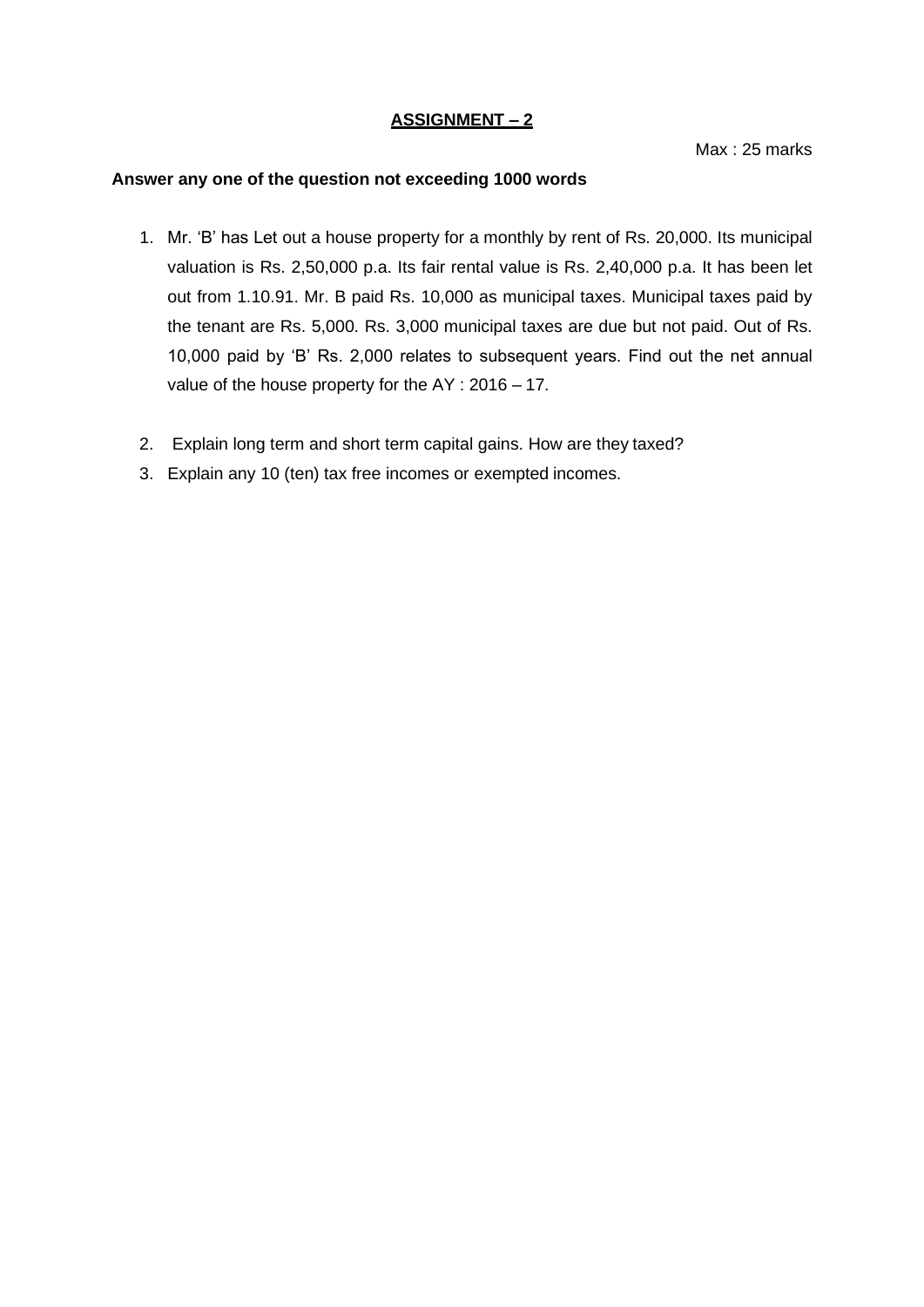#### **ASSIGNMENT – 2**

Max : 25 marks

- 1. Mr. 'B' has Let out a house property for a monthly by rent of Rs. 20,000. Its municipal valuation is Rs. 2,50,000 p.a. Its fair rental value is Rs. 2,40,000 p.a. It has been let out from 1.10.91. Mr. B paid Rs. 10,000 as municipal taxes. Municipal taxes paid by the tenant are Rs. 5,000. Rs. 3,000 municipal taxes are due but not paid. Out of Rs. 10,000 paid by 'B' Rs. 2,000 relates to subsequent years. Find out the net annual value of the house property for the AY : 2016 – 17.
- 2. Explain long term and short term capital gains. How are they taxed?
- 3. Explain any 10 (ten) tax free incomes or exempted incomes.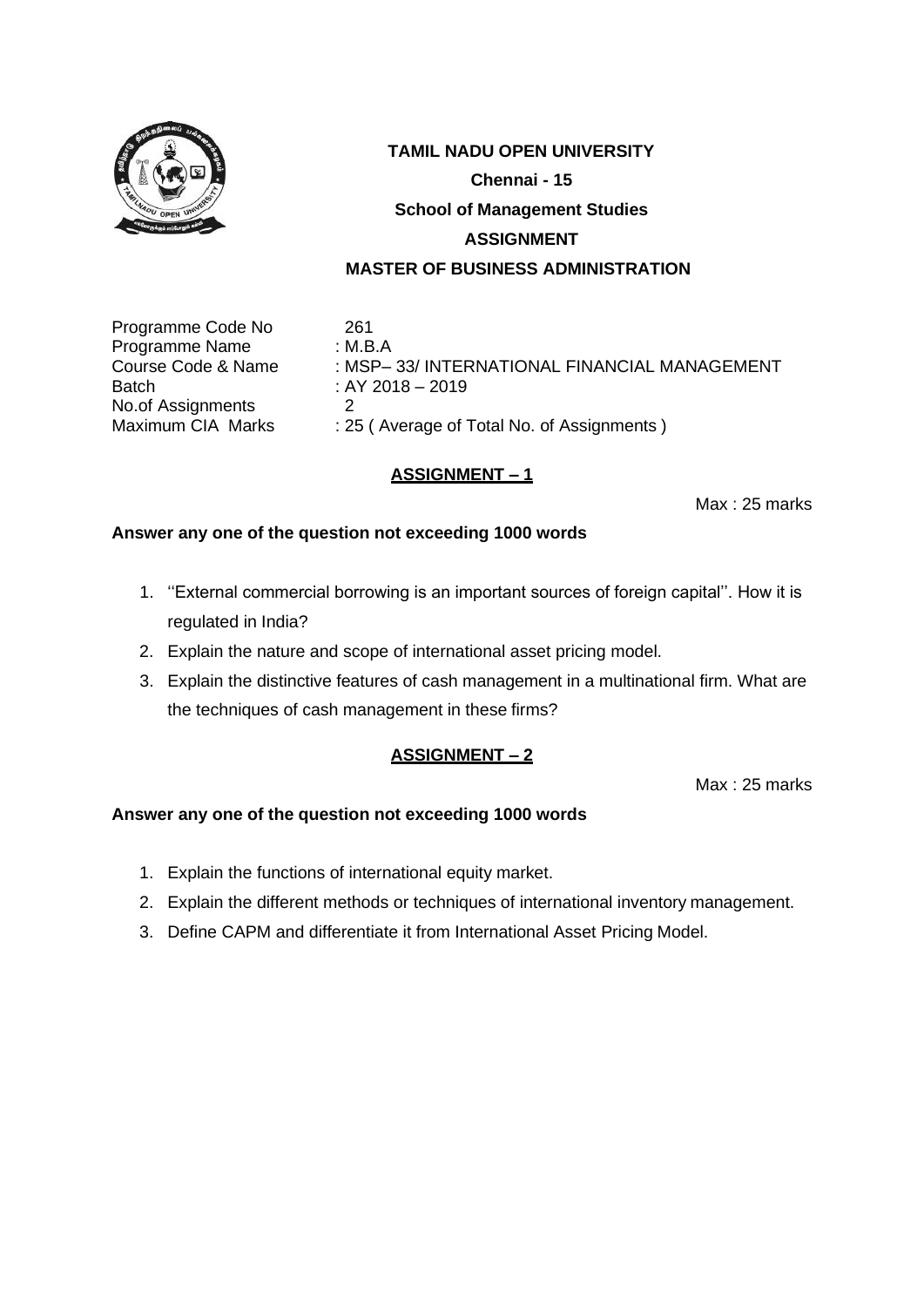

Programme Code No 261<br>Programme Name : M.B.A Programme Name Batch : AY 2018 – 2019 No.of Assignments 2<br>Maximum CIA Marks : 29

Course Code & Name : MSP– 33/ INTERNATIONAL FINANCIAL MANAGEMENT : 25 ( Average of Total No. of Assignments )

## **ASSIGNMENT – 1**

Max : 25 marks

#### **Answer any one of the question not exceeding 1000 words**

- 1. ''External commercial borrowing is an important sources of foreign capital''. How it is regulated in India?
- 2. Explain the nature and scope of international asset pricing model.
- 3. Explain the distinctive features of cash management in a multinational firm. What are the techniques of cash management in these firms?

#### **ASSIGNMENT – 2**

Max : 25 marks

- 1. Explain the functions of international equity market.
- 2. Explain the different methods or techniques of international inventory management.
- 3. Define CAPM and differentiate it from International Asset Pricing Model.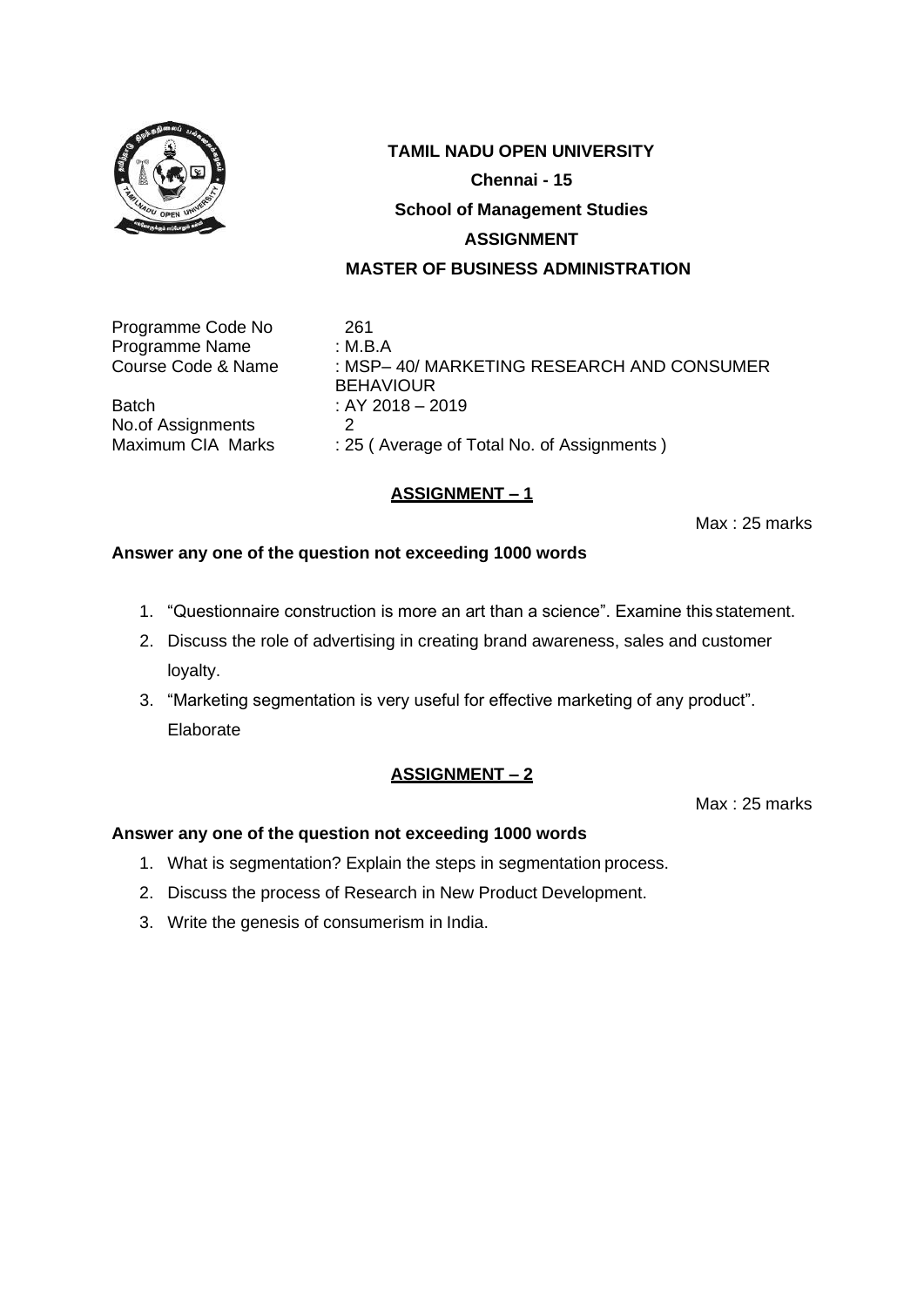

Programme Code No 261<br>Programme Name : M.B.A Programme Name<br>Course Code & Name

Batch  $: AY 2018 - 2019$ <br>No of Assignments  $: AY 2018 - 2019$ No.of Assignments<br>Maximum CIA Marks

: MSP- 40/ MARKETING RESEARCH AND CONSUMER **BEHAVIOUR** : 25 ( Average of Total No. of Assignments )

## **ASSIGNMENT – 1**

Max : 25 marks

#### **Answer any one of the question not exceeding 1000 words**

- 1. "Questionnaire construction is more an art than a science". Examine this statement.
- 2. Discuss the role of advertising in creating brand awareness, sales and customer loyalty.
- 3. "Marketing segmentation is very useful for effective marketing of any product". Elaborate

#### **ASSIGNMENT – 2**

Max : 25 marks

- 1. What is segmentation? Explain the steps in segmentation process.
- 2. Discuss the process of Research in New Product Development.
- 3. Write the genesis of consumerism in India.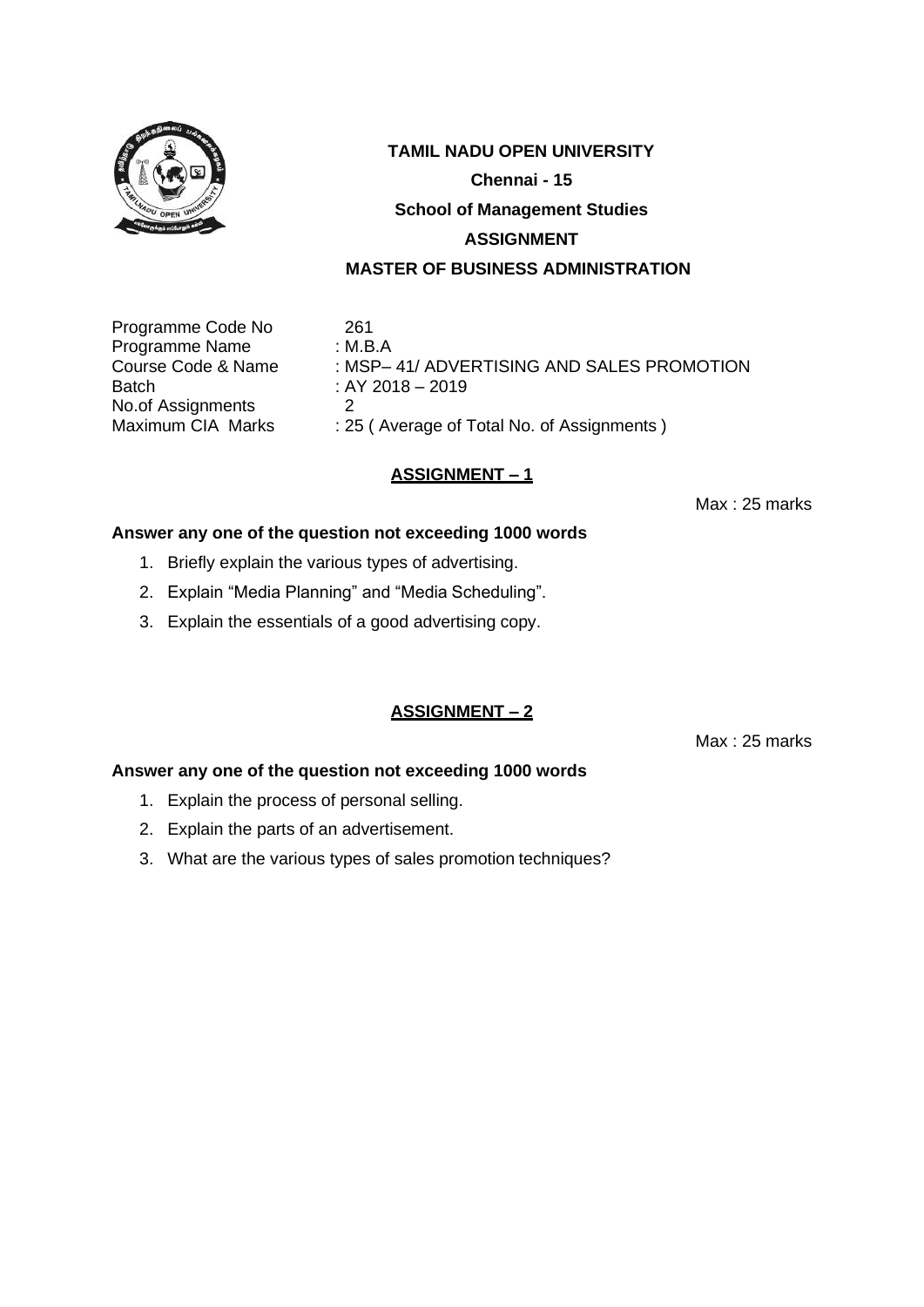

Programme Code No 261 Programme Name : M.B.A Batch : AY 2018 – 2019 No.of Assignments 2<br>Maximum CIA Marks : 29

Course Code & Name : MSP– 41/ ADVERTISING AND SALES PROMOTION : 25 ( Average of Total No. of Assignments )

## **ASSIGNMENT – 1**

Max : 25 marks

#### **Answer any one of the question not exceeding 1000 words**

- 1. Briefly explain the various types of advertising.
- 2. Explain "Media Planning" and "Media Scheduling".
- 3. Explain the essentials of a good advertising copy.

#### **ASSIGNMENT – 2**

Max : 25 marks

- 1. Explain the process of personal selling.
- 2. Explain the parts of an advertisement.
- 3. What are the various types of sales promotion techniques?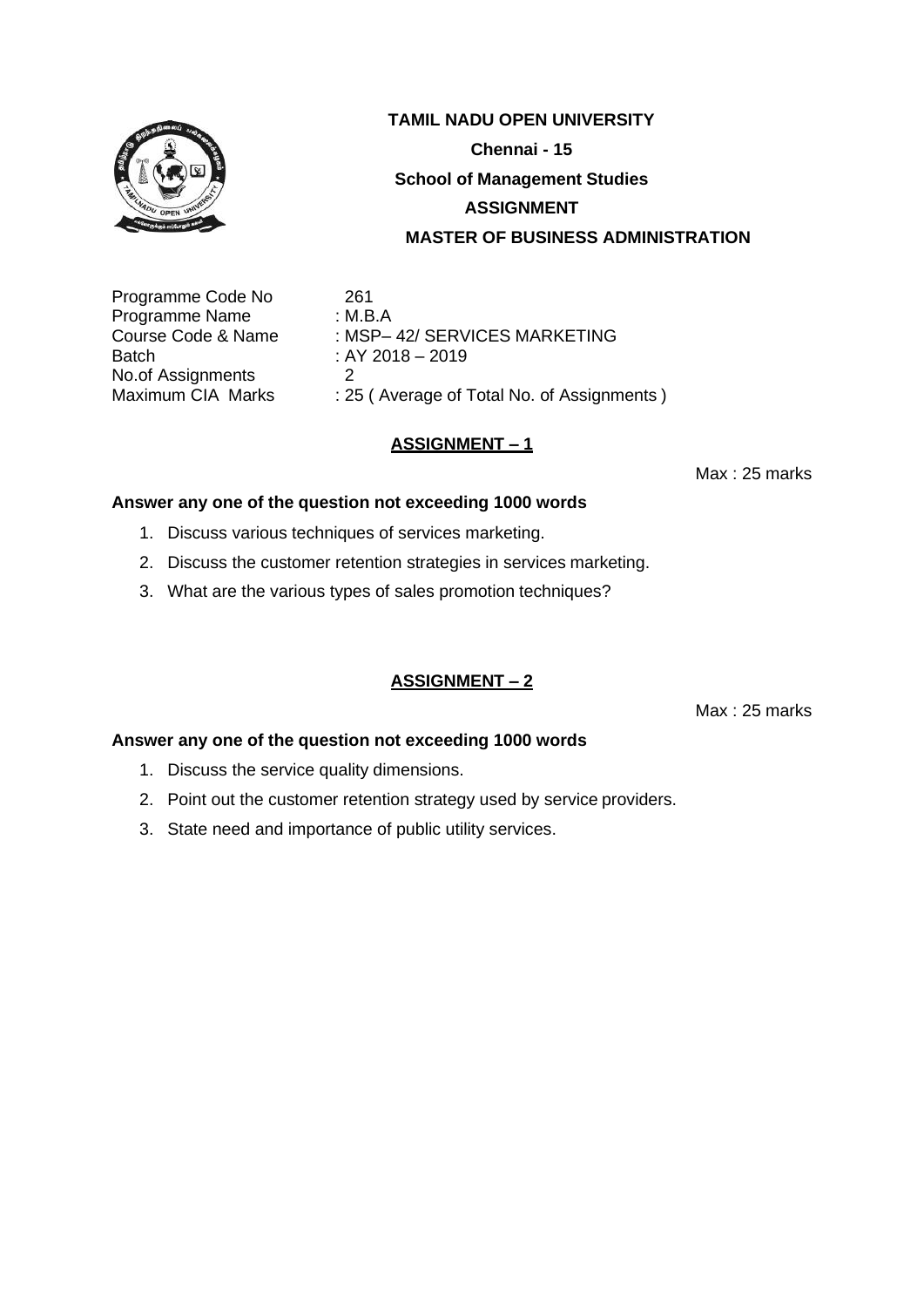

Programme Code No 261<br>Programme Name : M.B.A Programme Name<br>Course Code & Name Batch : AY 2018 – 2019 No.of Assignments 2<br>Maximum CIA Marks : 2

 $\therefore$  MSP– 42/ SERVICES MARKETING

: 25 ( Average of Total No. of Assignments )

## **ASSIGNMENT – 1**

Max : 25 marks

#### **Answer any one of the question not exceeding 1000 words**

- 1. Discuss various techniques of services marketing.
- 2. Discuss the customer retention strategies in services marketing.
- 3. What are the various types of sales promotion techniques?

#### **ASSIGNMENT – 2**

Max : 25 marks

- 1. Discuss the service quality dimensions.
- 2. Point out the customer retention strategy used by service providers.
- 3. State need and importance of public utility services.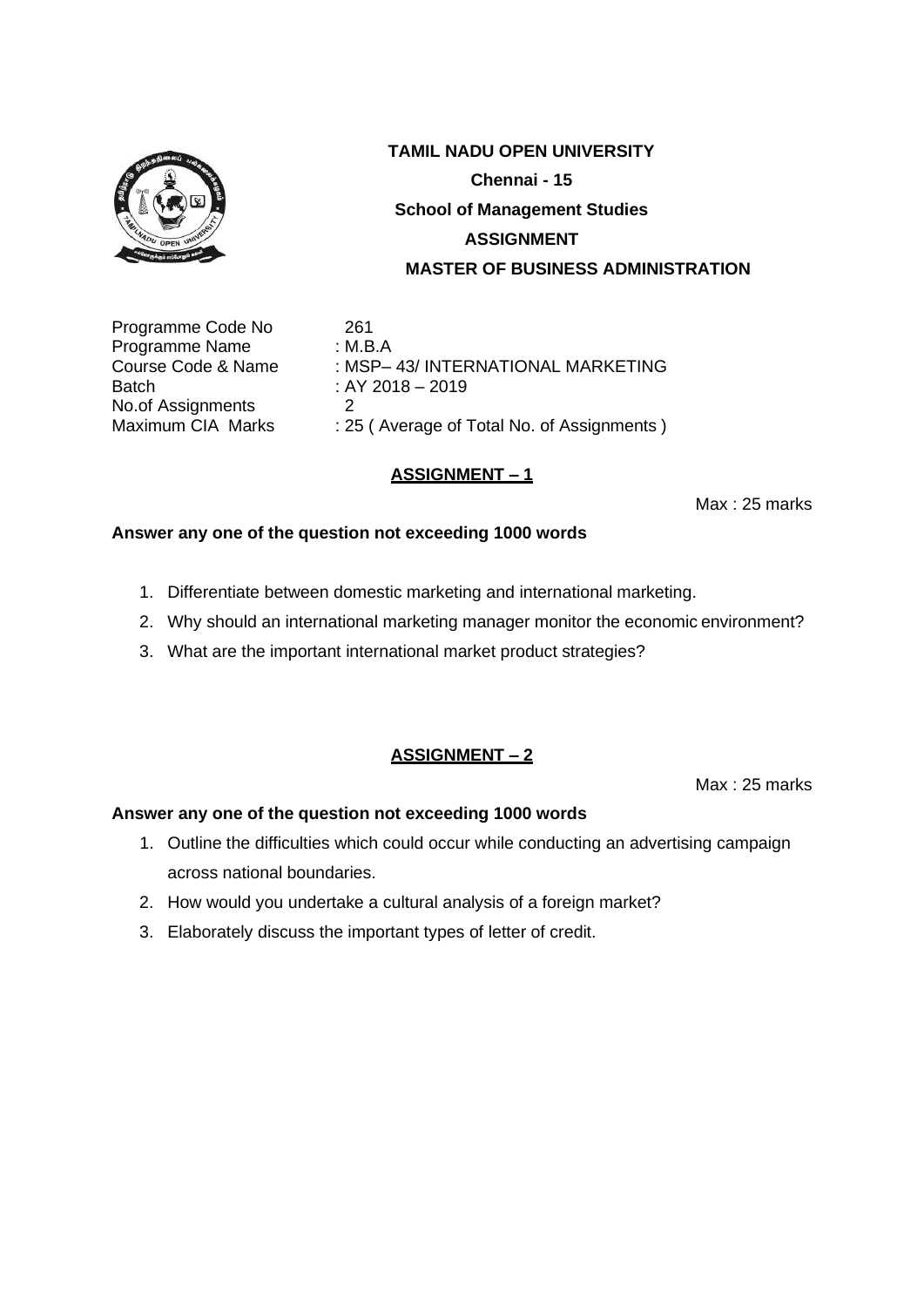

Programme Code No 261 Programme Name : M.B.A Batch : AY 2018 – 2019 No.of Assignments 2<br>Maximum CIA Marks : 29

Course Code & Name : MSP– 43/ INTERNATIONAL MARKETING : 25 ( Average of Total No. of Assignments )

## **ASSIGNMENT – 1**

Max : 25 marks

#### **Answer any one of the question not exceeding 1000 words**

- 1. Differentiate between domestic marketing and international marketing.
- 2. Why should an international marketing manager monitor the economic environment?
- 3. What are the important international market product strategies?

#### **ASSIGNMENT – 2**

Max : 25 marks

- 1. Outline the difficulties which could occur while conducting an advertising campaign across national boundaries.
- 2. How would you undertake a cultural analysis of a foreign market?
- 3. Elaborately discuss the important types of letter of credit.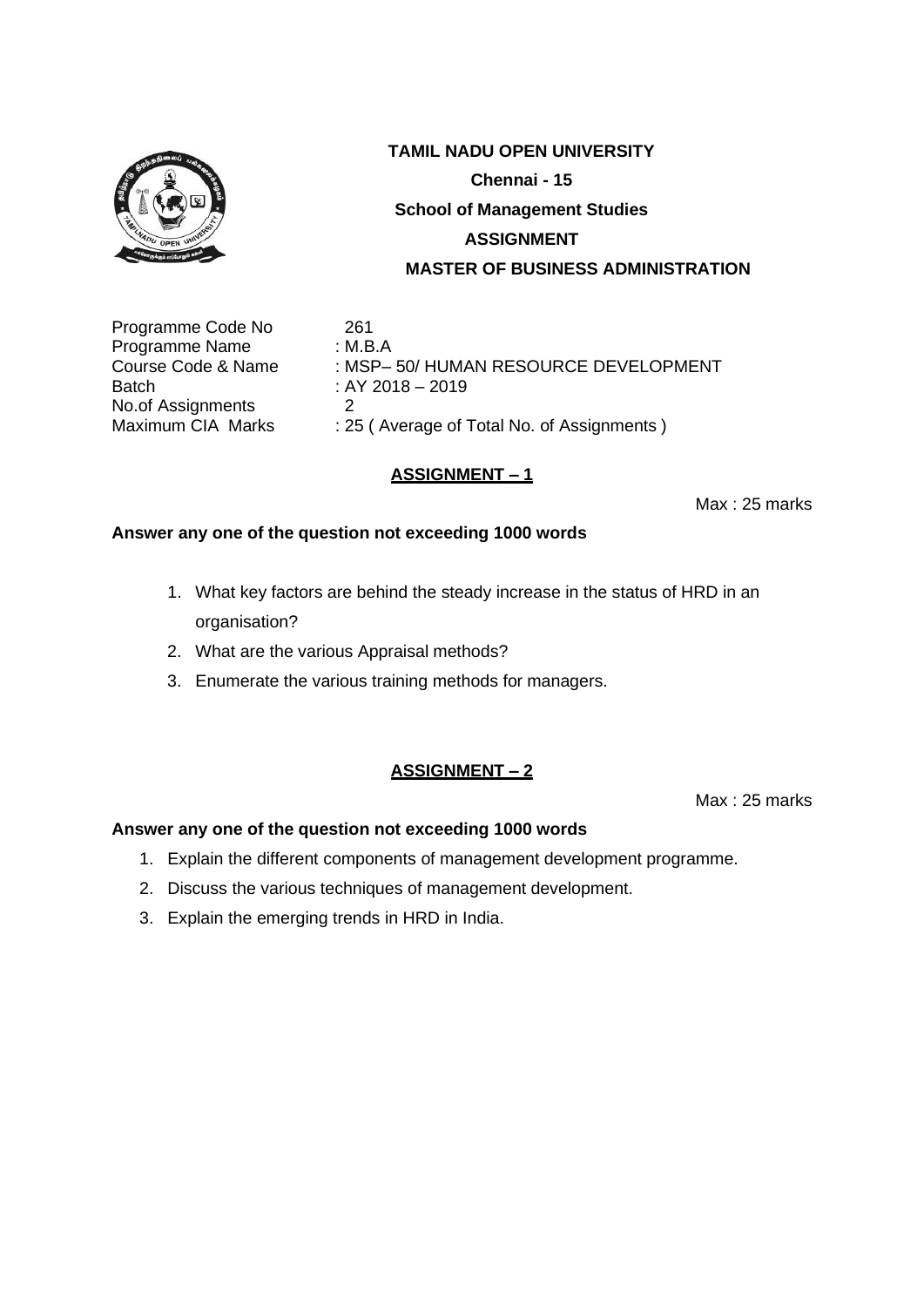

Programme Code No 261 Programme Name : M.B.A Batch : AY 2018 – 2019 No.of Assignments 2<br>Maximum CIA Marks : 29

Course Code & Name : MSP– 50/ HUMAN RESOURCE DEVELOPMENT : 25 ( Average of Total No. of Assignments )

## **ASSIGNMENT – 1**

Max : 25 marks

#### **Answer any one of the question not exceeding 1000 words**

- 1. What key factors are behind the steady increase in the status of HRD in an organisation?
- 2. What are the various Appraisal methods?
- 3. Enumerate the various training methods for managers.

#### **ASSIGNMENT – 2**

Max : 25 marks

- 1. Explain the different components of management development programme.
- 2. Discuss the various techniques of management development.
- 3. Explain the emerging trends in HRD in India.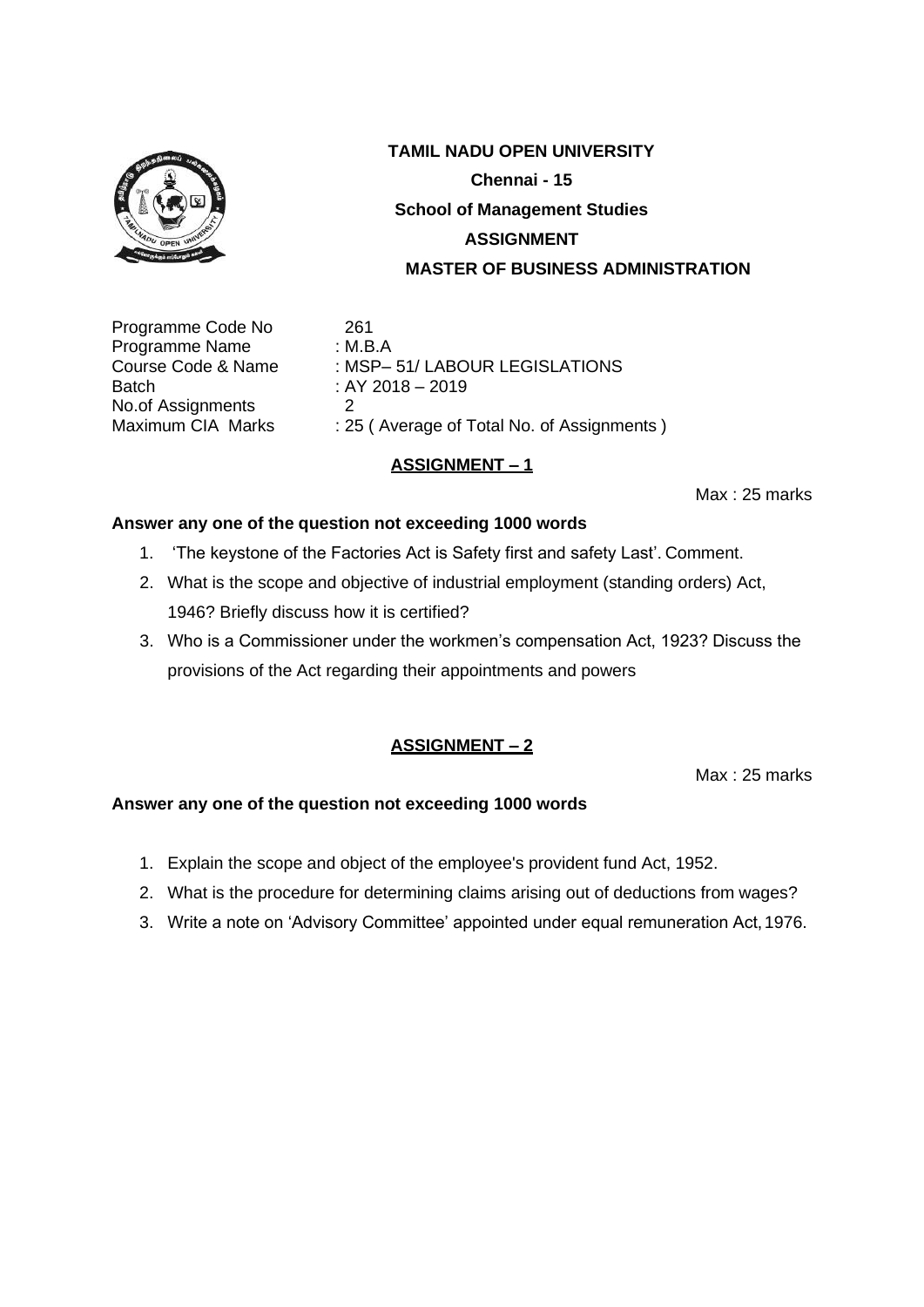

Programme Code No 261 Programme Name : M.B.A Batch : AY 2018 – 2019 No.of Assignments 2<br>Maximum CIA Marks : 29

Course Code & Name : MSP- 51/ LABOUR LEGISLATIONS : 25 ( Average of Total No. of Assignments )

## **ASSIGNMENT – 1**

Max : 25 marks

#### **Answer any one of the question not exceeding 1000 words**

- 1. 'The keystone of the Factories Act is Safety first and safety Last'. Comment.
- 2. What is the scope and objective of industrial employment (standing orders) Act, 1946? Briefly discuss how it is certified?
- 3. Who is a Commissioner under the workmen's compensation Act, 1923? Discuss the provisions of the Act regarding their appointments and powers

#### **ASSIGNMENT – 2**

Max : 25 marks

- 1. Explain the scope and object of the employee's provident fund Act, 1952.
- 2. What is the procedure for determining claims arising out of deductions from wages?
- 3. Write a note on 'Advisory Committee' appointed under equal remuneration Act,1976.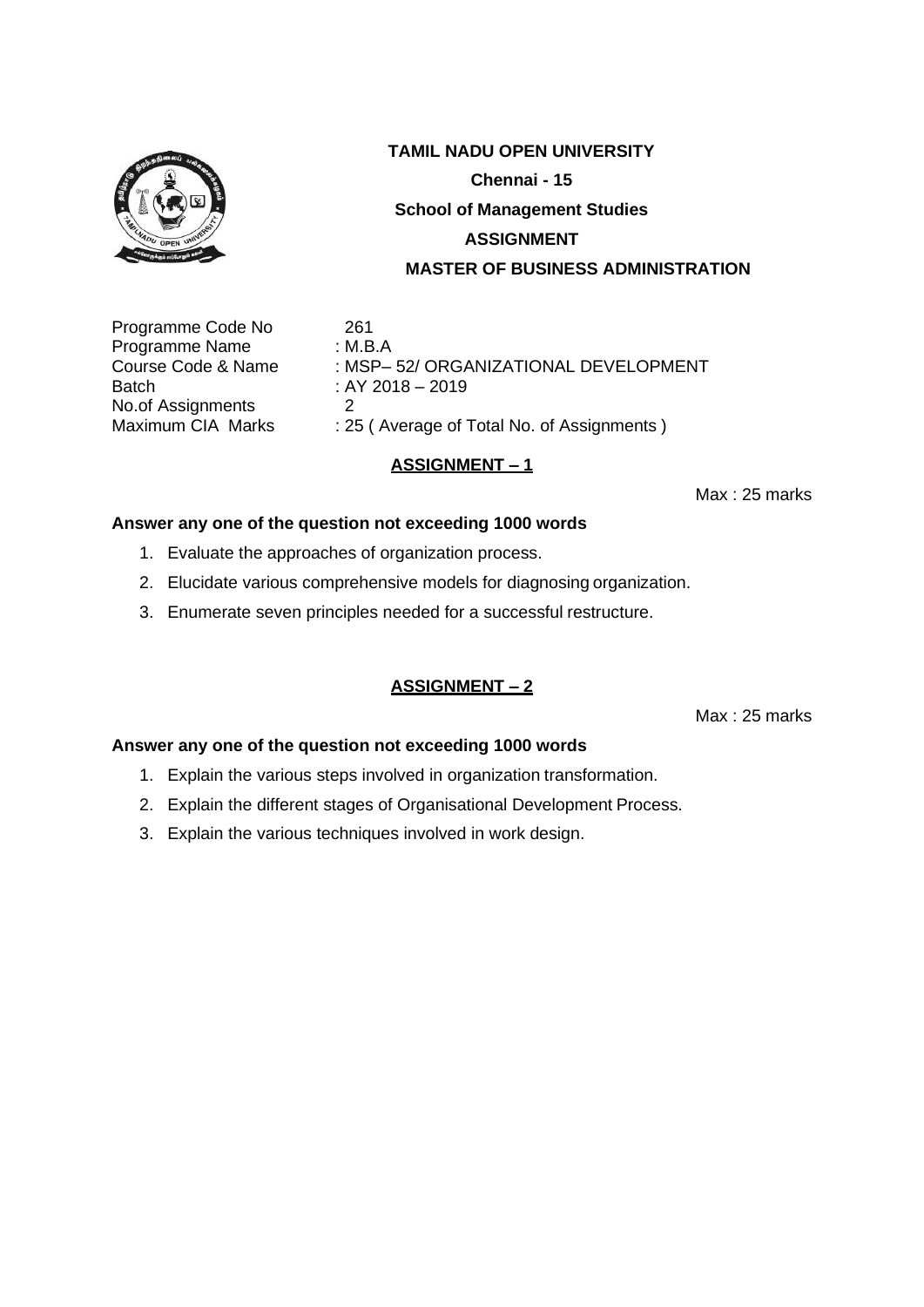

Programme Code No 261 Programme Name : M.B.A Batch : AY 2018 – 2019 No.of Assignments 2<br>Maximum CIA Marks : 25

Course Code & Name : MSP– 52/ ORGANIZATIONAL DEVELOPMENT : 25 ( Average of Total No. of Assignments )

## **ASSIGNMENT – 1**

Max : 25 marks

#### **Answer any one of the question not exceeding 1000 words**

- 1. Evaluate the approaches of organization process.
- 2. Elucidate various comprehensive models for diagnosing organization.
- 3. Enumerate seven principles needed for a successful restructure.

## **ASSIGNMENT – 2**

Max : 25 marks

- 1. Explain the various steps involved in organization transformation.
- 2. Explain the different stages of Organisational Development Process.
- 3. Explain the various techniques involved in work design.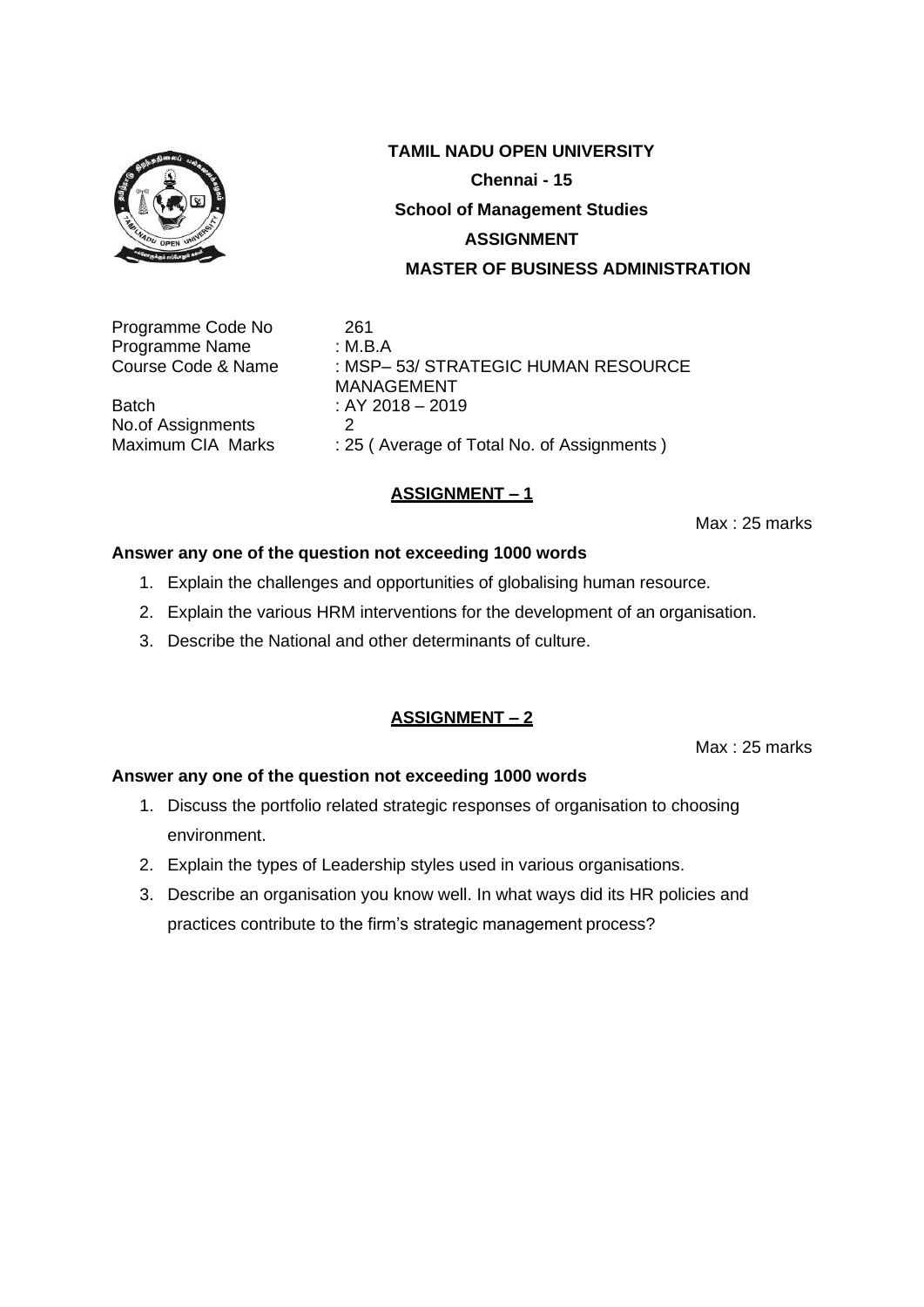

Programme Code No 261 Programme Name : M.B.A<br>Course Code & Name : MSP-

Batch : AY 2018 – 2019<br>No of Assignments 2 No.of Assignments<br>Maximum CIA Marks

: MSP– 53/ STRATEGIC HUMAN RESOURCE MANAGEMENT : 25 ( Average of Total No. of Assignments )

#### **ASSIGNMENT – 1**

Max : 25 marks

#### **Answer any one of the question not exceeding 1000 words**

- 1. Explain the challenges and opportunities of globalising human resource.
- 2. Explain the various HRM interventions for the development of an organisation.
- 3. Describe the National and other determinants of culture.

#### **ASSIGNMENT – 2**

Max : 25 marks

- 1. Discuss the portfolio related strategic responses of organisation to choosing environment.
- 2. Explain the types of Leadership styles used in various organisations.
- 3. Describe an organisation you know well. In what ways did its HR policies and practices contribute to the firm's strategic management process?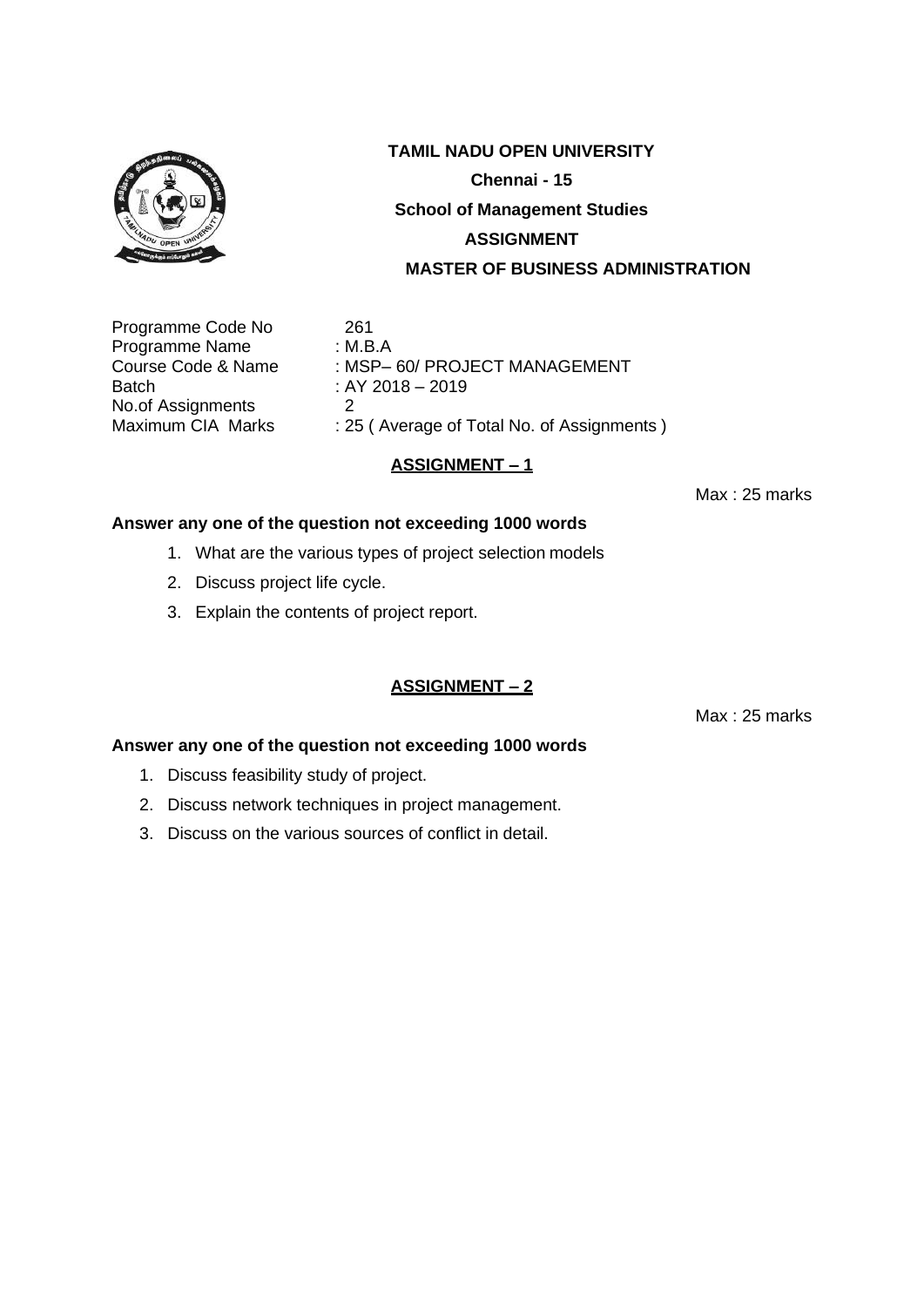

Programme Code No 261 Programme Name : M.B.A<br>Course Code & Name : MSP-Batch : AY 2018 – 2019 No.of Assignments 2<br>Maximum CIA Marks : 25

: MSP– 60/ PROJECT MANAGEMENT

: 25 ( Average of Total No. of Assignments )

## **ASSIGNMENT – 1**

Max : 25 marks

#### **Answer any one of the question not exceeding 1000 words**

- 1. What are the various types of project selection models
- 2. Discuss project life cycle.
- 3. Explain the contents of project report.

#### **ASSIGNMENT – 2**

Max : 25 marks

- 1. Discuss feasibility study of project.
- 2. Discuss network techniques in project management.
- 3. Discuss on the various sources of conflict in detail.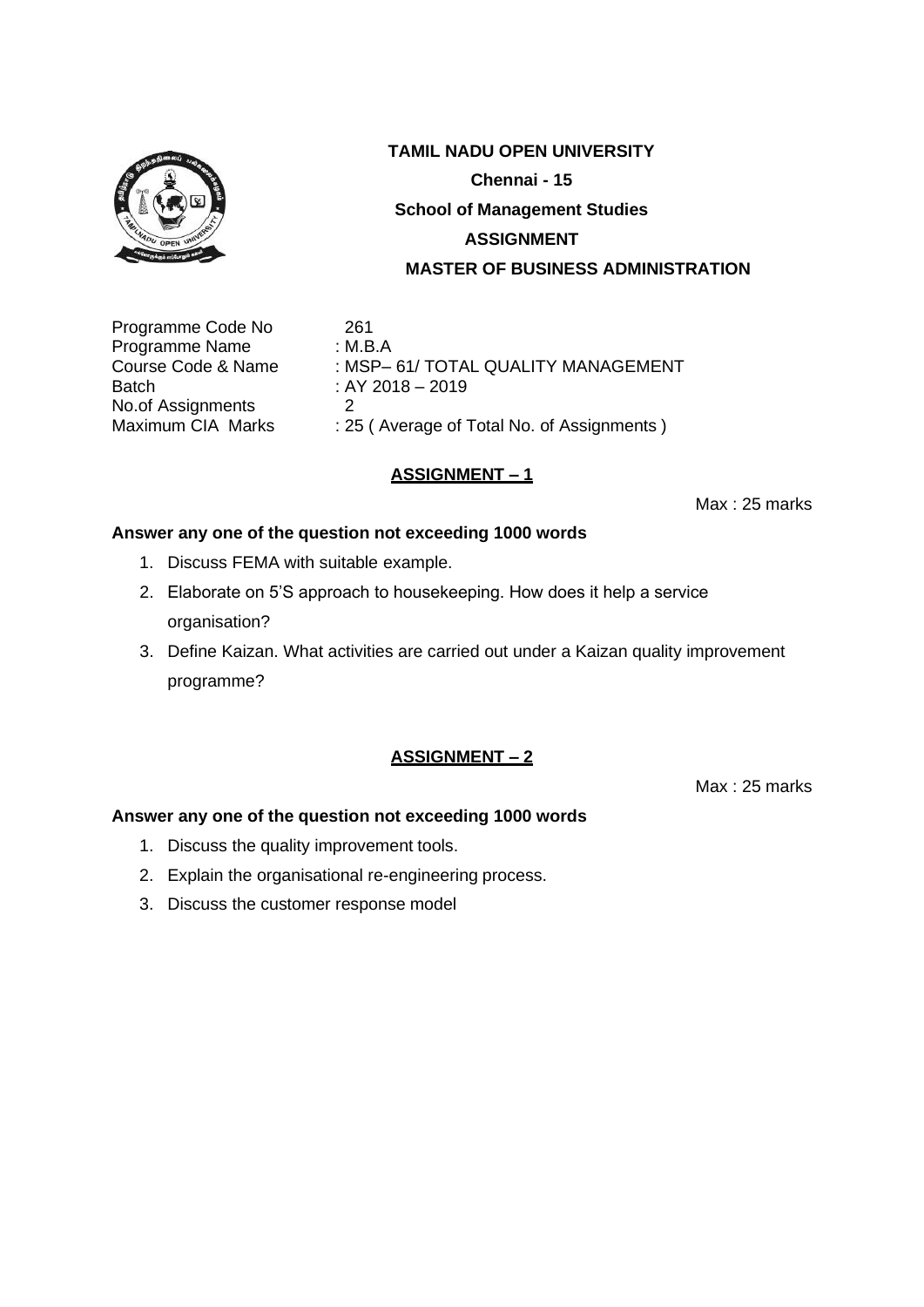

Programme Code No 261 Programme Name : M.B.A<br>Course Code & Name : MSP-Batch : AY 2018 – 2019 No.of Assignments 2<br>Maximum CIA Marks : 29

: MSP- 61/ TOTAL QUALITY MANAGEMENT : 25 ( Average of Total No. of Assignments )

## **ASSIGNMENT – 1**

Max : 25 marks

## **Answer any one of the question not exceeding 1000 words**

- 1. Discuss FEMA with suitable example.
- 2. Elaborate on 5'S approach to housekeeping. How does it help a service organisation?
- 3. Define Kaizan. What activities are carried out under a Kaizan quality improvement programme?

## **ASSIGNMENT – 2**

Max : 25 marks

- 1. Discuss the quality improvement tools.
- 2. Explain the organisational re-engineering process.
- 3. Discuss the customer response model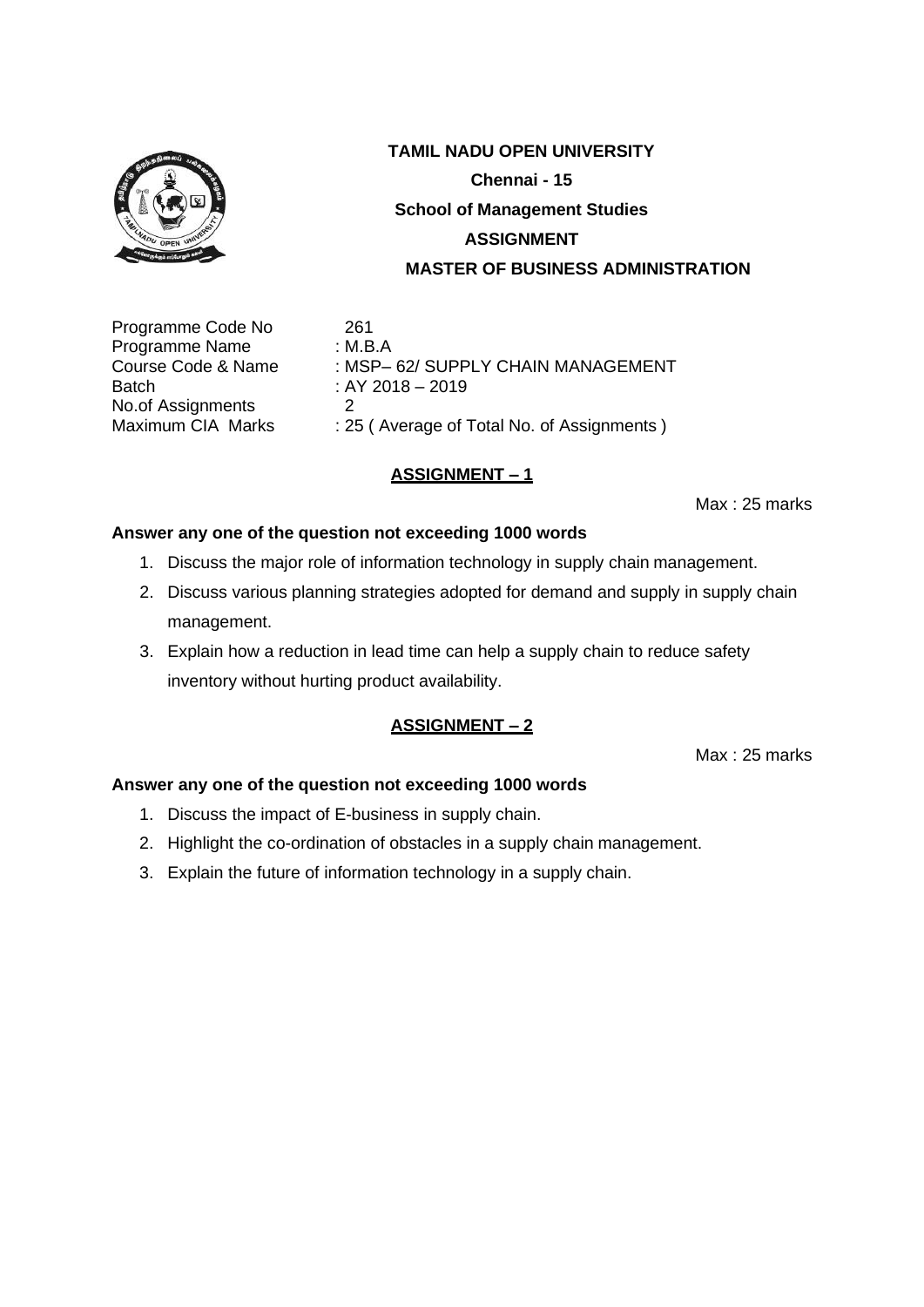

Programme Code No 261 Programme Name : M.B.A Batch : AY 2018 – 2019 No.of Assignments 2<br>Maximum CIA Marks : 29

Course Code & Name : MSP– 62/ SUPPLY CHAIN MANAGEMENT : 25 ( Average of Total No. of Assignments )

## **ASSIGNMENT – 1**

Max : 25 marks

#### **Answer any one of the question not exceeding 1000 words**

- 1. Discuss the major role of information technology in supply chain management.
- 2. Discuss various planning strategies adopted for demand and supply in supply chain management.
- 3. Explain how a reduction in lead time can help a supply chain to reduce safety inventory without hurting product availability.

#### **ASSIGNMENT – 2**

Max : 25 marks

- 1. Discuss the impact of E-business in supply chain.
- 2. Highlight the co-ordination of obstacles in a supply chain management.
- 3. Explain the future of information technology in a supply chain.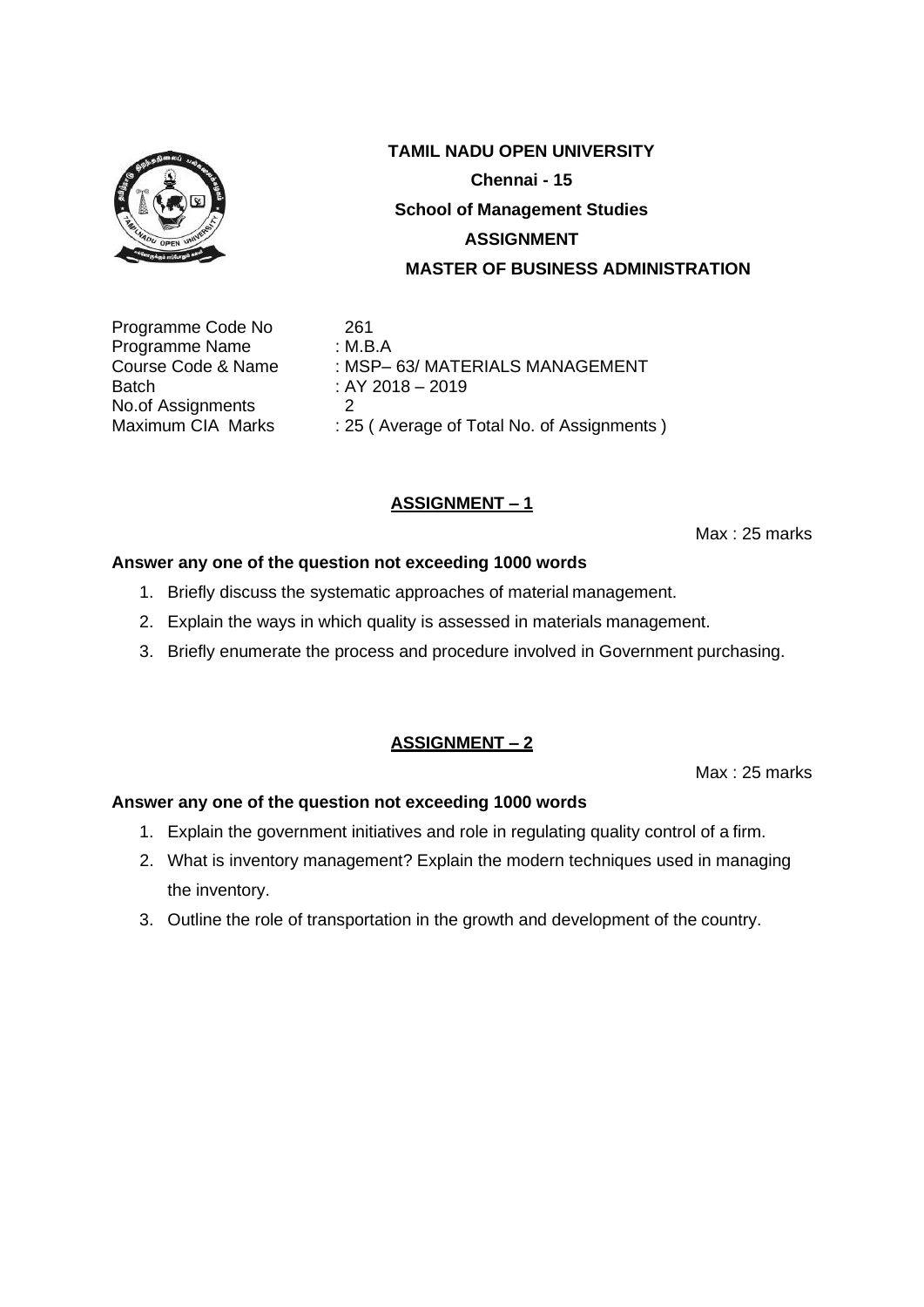

Programme Code No 261 Programme Name : M.B.A Batch : AY 2018 – 2019 No.of Assignments 2<br>Maximum CIA Marks : 29

## **TAMIL NADU OPEN UNIVERSITY Chennai - 15 School of Management Studies ASSIGNMENT MASTER OF BUSINESS ADMINISTRATION**

Course Code & Name : MSP– 63/ MATERIALS MANAGEMENT : 25 ( Average of Total No. of Assignments )

## **ASSIGNMENT – 1**

Max : 25 marks

## **Answer any one of the question not exceeding 1000 words**

- 1. Briefly discuss the systematic approaches of material management.
- 2. Explain the ways in which quality is assessed in materials management.
- 3. Briefly enumerate the process and procedure involved in Government purchasing.

## **ASSIGNMENT – 2**

Max : 25 marks

- 1. Explain the government initiatives and role in regulating quality control of a firm.
- 2. What is inventory management? Explain the modern techniques used in managing the inventory.
- 3. Outline the role of transportation in the growth and development of the country.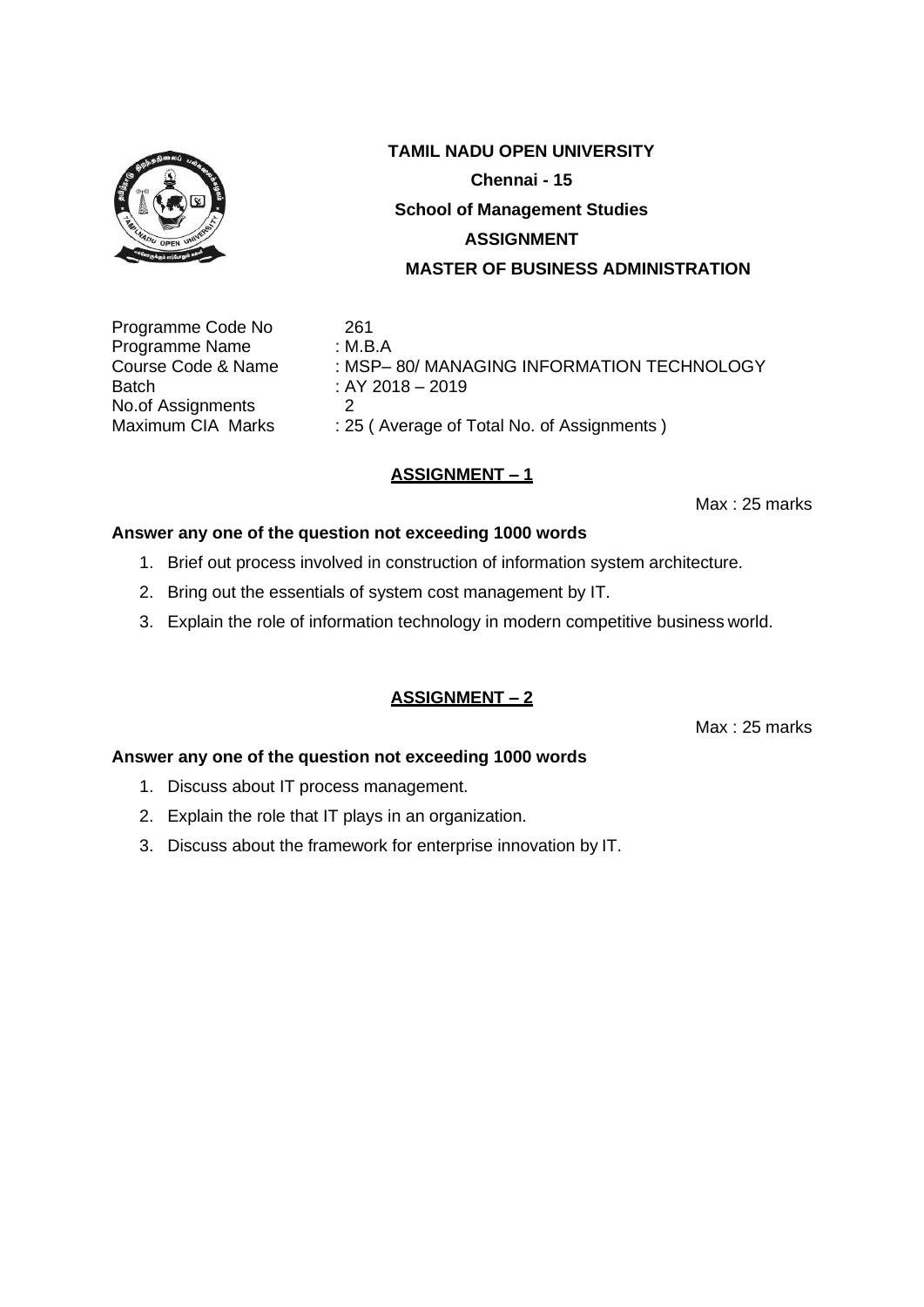

Programme Code No 261 Programme Name : M.B.A Batch : AY 2018 – 2019 No.of Assignments 2<br>Maximum CIA Marks : 29

Course Code & Name : MSP– 80/ MANAGING INFORMATION TECHNOLOGY : 25 ( Average of Total No. of Assignments )

## **ASSIGNMENT – 1**

Max : 25 marks

#### **Answer any one of the question not exceeding 1000 words**

- 1. Brief out process involved in construction of information system architecture.
- 2. Bring out the essentials of system cost management by IT.
- 3. Explain the role of information technology in modern competitive business world.

## **ASSIGNMENT – 2**

Max : 25 marks

- 1. Discuss about IT process management.
- 2. Explain the role that IT plays in an organization.
- 3. Discuss about the framework for enterprise innovation by IT.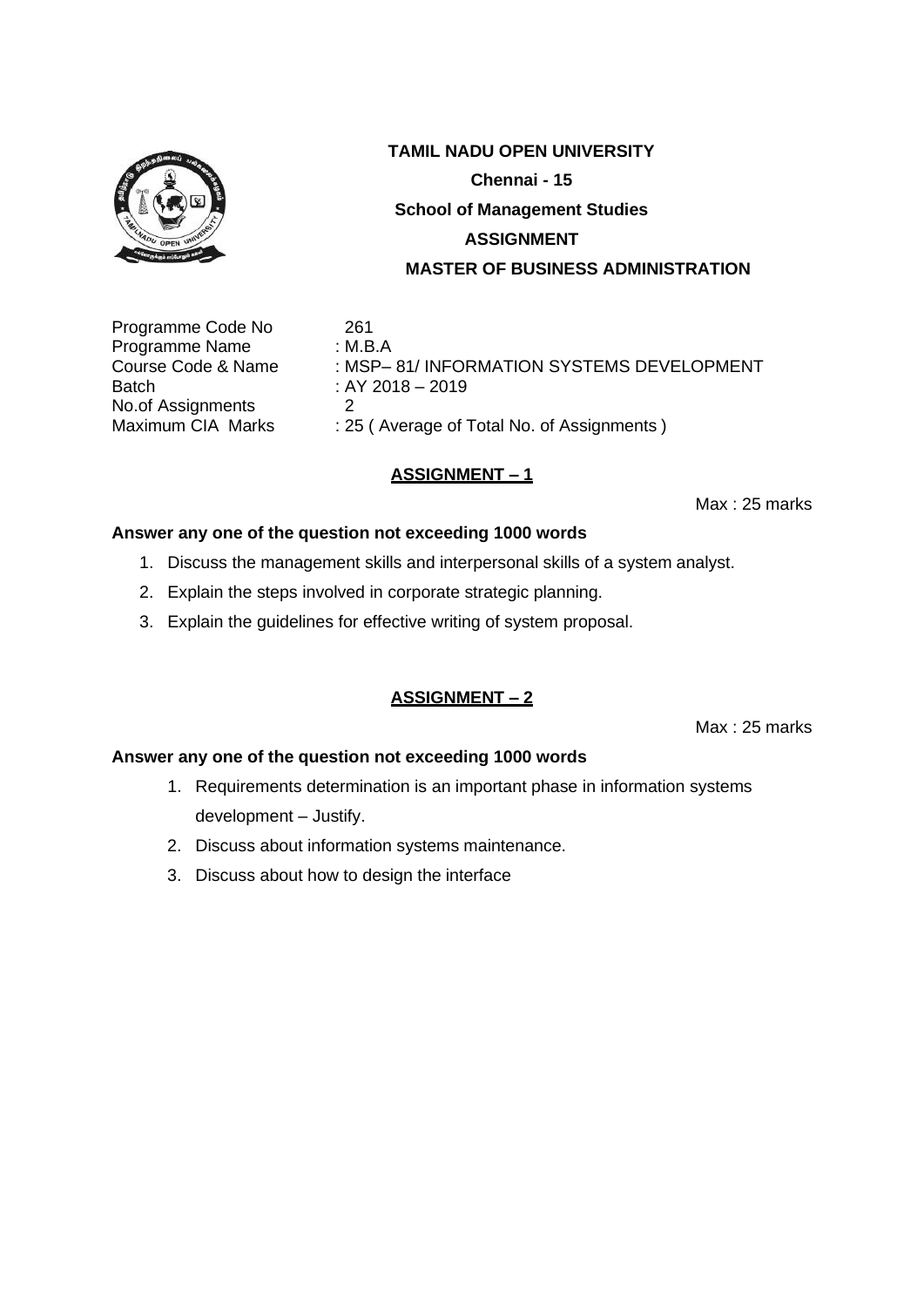

Programme Code No 261 Programme Name : M.B.A Batch : AY 2018 – 2019 No.of Assignments 2<br>Maximum CIA Marks : 25

Course Code & Name : MSP– 81/ INFORMATION SYSTEMS DEVELOPMENT : 25 ( Average of Total No. of Assignments )

## **ASSIGNMENT – 1**

Max : 25 marks

## **Answer any one of the question not exceeding 1000 words**

- 1. Discuss the management skills and interpersonal skills of a system analyst.
- 2. Explain the steps involved in corporate strategic planning.
- 3. Explain the guidelines for effective writing of system proposal.

## **ASSIGNMENT – 2**

Max : 25 marks

- 1. Requirements determination is an important phase in information systems development – Justify.
- 2. Discuss about information systems maintenance.
- 3. Discuss about how to design the interface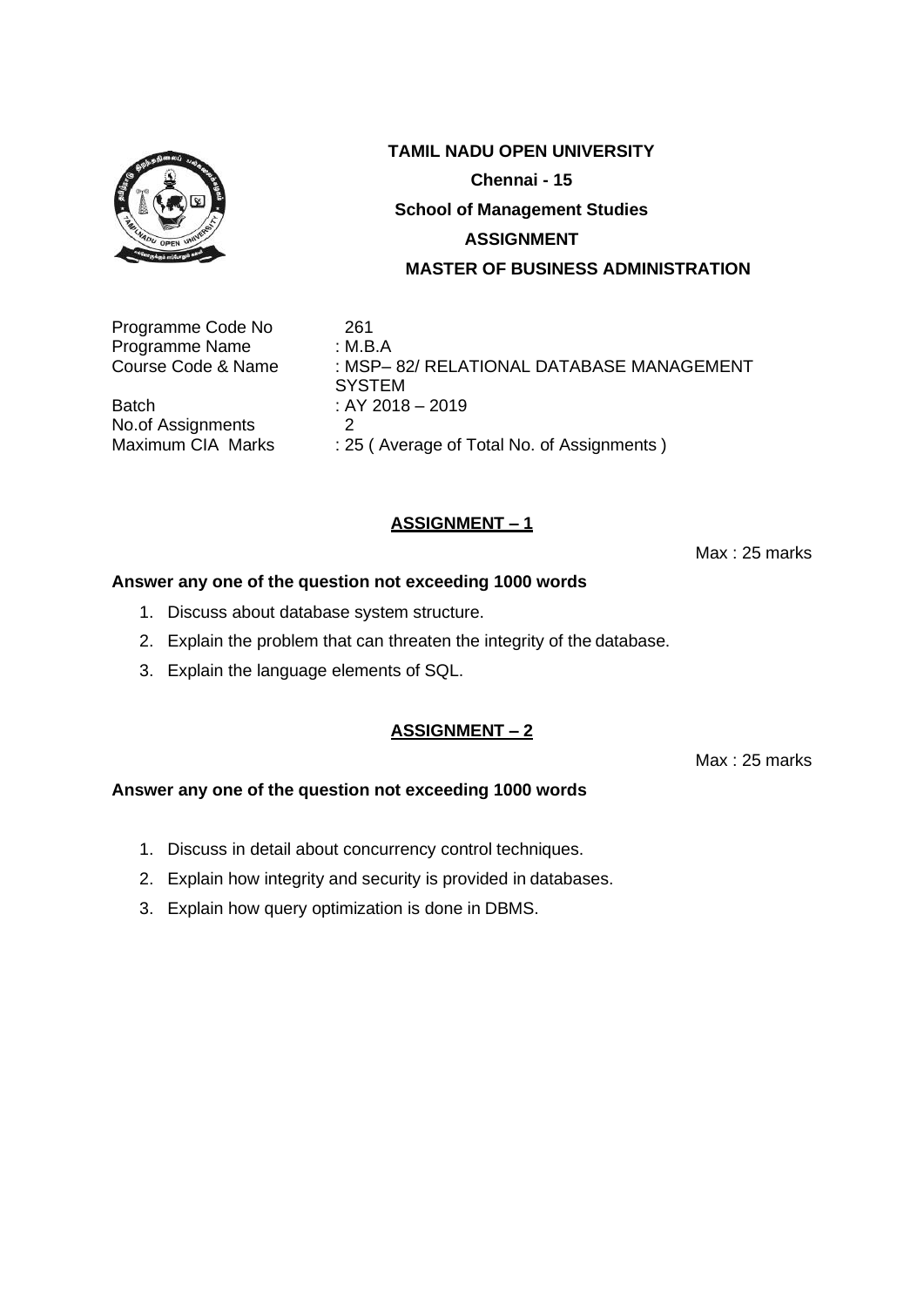

Programme Code No 261 Programme Name : M.B.A<br>Course Code & Name : MSP-

Batch : AY 2018 – 2019 No.of Assignments 2<br>Maximum CIA Marks : 29

: MSP- 82/ RELATIONAL DATABASE MANAGEMENT **SYSTEM** : 25 ( Average of Total No. of Assignments )

## **ASSIGNMENT – 1**

Max : 25 marks

#### **Answer any one of the question not exceeding 1000 words**

- 1. Discuss about database system structure.
- 2. Explain the problem that can threaten the integrity of the database.
- 3. Explain the language elements of SQL.

## **ASSIGNMENT – 2**

Max : 25 marks

- 1. Discuss in detail about concurrency control techniques.
- 2. Explain how integrity and security is provided in databases.
- 3. Explain how query optimization is done in DBMS.